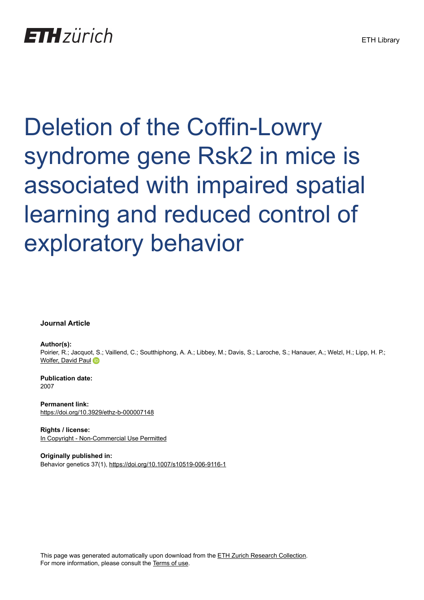Deletion of the Coffin-Lowry syndrome gene Rsk2 in mice is associated with impaired spatial learning and reduced control of exploratory behavior

**Journal Article**

**Author(s):**

Poirier, R.; Jacquot, S.; Vaillend, C.; Soutthiphong, A. A.; Libbey, M.; Davis, S.; Laroche, S.; Hanauer, A.; Welzl, H.; Lipp, H. P.; [Wolfer, David Paul](https://orcid.org/0000-0002-5957-1401)

**Publication date:** 2007

**Permanent link:** <https://doi.org/10.3929/ethz-b-000007148>

**Rights / license:** [In Copyright - Non-Commercial Use Permitted](http://rightsstatements.org/page/InC-NC/1.0/)

**Originally published in:** Behavior genetics 37(1),<https://doi.org/10.1007/s10519-006-9116-1>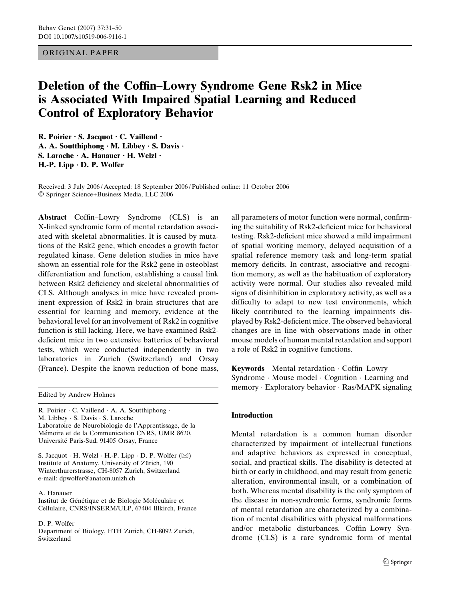# ORIGINAL PAPER

# Deletion of the Coffin–Lowry Syndrome Gene Rsk2 in Mice is Associated With Impaired Spatial Learning and Reduced Control of Exploratory Behavior

R. Poirier  $\cdot$  S. Jacquot  $\cdot$  C. Vaillend  $\cdot$ A. A. Soutthiphong  $\cdot$  M. Libbey  $\cdot$  S. Davis  $\cdot$ S. Laroche  $\cdot$  A. Hanauer  $\cdot$  H. Welzl  $\cdot$  $H.-P.$  Lipp  $\cdot$  D. P. Wolfer

Received: 3 July 2006 / Accepted: 18 September 2006 / Published online: 11 October 2006 Springer Science+Business Media, LLC 2006

Abstract Coffin–Lowry Syndrome (CLS) is an X-linked syndromic form of mental retardation associated with skeletal abnormalities. It is caused by mutations of the Rsk2 gene, which encodes a growth factor regulated kinase. Gene deletion studies in mice have shown an essential role for the Rsk2 gene in osteoblast differentiation and function, establishing a causal link between Rsk2 deficiency and skeletal abnormalities of CLS. Although analyses in mice have revealed prominent expression of Rsk2 in brain structures that are essential for learning and memory, evidence at the behavioral level for an involvement of Rsk2 in cognitive function is still lacking. Here, we have examined Rsk2 deficient mice in two extensive batteries of behavioral tests, which were conducted independently in two laboratories in Zurich (Switzerland) and Orsay (France). Despite the known reduction of bone mass,

Edited by Andrew Holmes

R. Poirier · C. Vaillend · A. A. Soutthiphong · M. Libbey · S. Davis · S. Laroche Laboratoire de Neurobiologie de l'Apprentissage, de la Mémoire et de la Communication CNRS, UMR 8620, Université Paris-Sud, 91405 Orsay, France

S. Jacquot  $\cdot$  H. Welzl  $\cdot$  H.-P. Lipp  $\cdot$  D. P. Wolfer ( $\boxtimes$ ) Institute of Anatomy, University of Zürich, 190 Winterthurerstrasse, CH-8057 Zurich, Switzerland e-mail: dpwolfer@anatom.unizh.ch

#### A. Hanauer

Institut de Génétique et de Biologie Moléculaire et Cellulaire, CNRS/INSERM/ULP, 67404 Illkirch, France

## D. P. Wolfer

Department of Biology, ETH Zürich, CH-8092 Zurich, Switzerland

all parameters of motor function were normal, confirming the suitability of Rsk2-deficient mice for behavioral testing. Rsk2-deficient mice showed a mild impairment of spatial working memory, delayed acquisition of a spatial reference memory task and long-term spatial memory deficits. In contrast, associative and recognition memory, as well as the habituation of exploratory activity were normal. Our studies also revealed mild signs of disinhibition in exploratory activity, as well as a difficulty to adapt to new test environments, which likely contributed to the learning impairments displayed by Rsk2-deficient mice. The observed behavioral changes are in line with observations made in other mouse models of human mental retardation and support a role of Rsk2 in cognitive functions.

Keywords Mental retardation · Coffin–Lowry Syndrome · Mouse model · Cognition · Learning and memory · Exploratory behavior · Ras/MAPK signaling

## Introduction

Mental retardation is a common human disorder characterized by impairment of intellectual functions and adaptive behaviors as expressed in conceptual, social, and practical skills. The disability is detected at birth or early in childhood, and may result from genetic alteration, environmental insult, or a combination of both. Whereas mental disability is the only symptom of the disease in non-syndromic forms, syndromic forms of mental retardation are characterized by a combination of mental disabilities with physical malformations and/or metabolic disturbances. Coffin–Lowry Syndrome (CLS) is a rare syndromic form of mental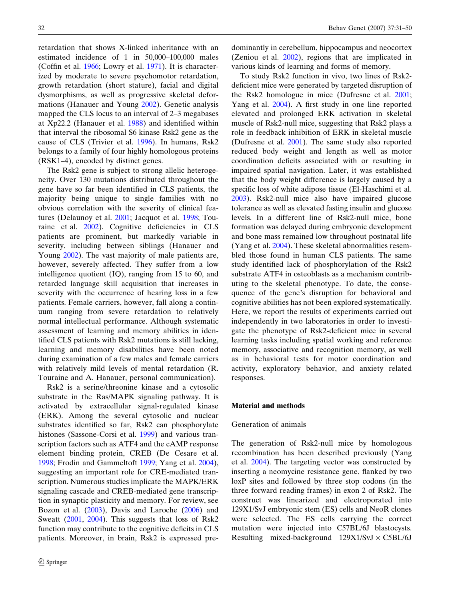retardation that shows X-linked inheritance with an estimated incidence of 1 in 50,000–100,000 males (Coffin et al. [1966](#page-18-0); Lowry et al. [1971\)](#page-19-0). It is characterized by moderate to severe psychomotor retardation, growth retardation (short stature), facial and digital dysmorphisms, as well as progressive skeletal deformations (Hanauer and Young [2002\)](#page-19-0). Genetic analysis mapped the CLS locus to an interval of 2–3 megabases at Xp22.2 (Hanauer et al. [1988\)](#page-19-0) and identified within that interval the ribosomal S6 kinase Rsk2 gene as the cause of CLS (Trivier et al. [1996\)](#page-20-0). In humans, Rsk2 belongs to a family of four highly homologous proteins (RSK1–4), encoded by distinct genes.

The Rsk2 gene is subject to strong allelic heterogeneity. Over 130 mutations distributed throughout the gene have so far been identified in CLS patients, the majority being unique to single families with no obvious correlation with the severity of clinical features (Delaunoy et al. [2001;](#page-18-0) Jacquot et al. [1998](#page-19-0); Touraine et al. [2002](#page-20-0)). Cognitive deficiencies in CLS patients are prominent, but markedly variable in severity, including between siblings (Hanauer and Young [2002\)](#page-19-0). The vast majority of male patients are, however, severely affected. They suffer from a low intelligence quotient (IQ), ranging from 15 to 60, and retarded language skill acquisition that increases in severity with the occurrence of hearing loss in a few patients. Female carriers, however, fall along a continuum ranging from severe retardation to relatively normal intellectual performance. Although systematic assessment of learning and memory abilities in identified CLS patients with Rsk2 mutations is still lacking, learning and memory disabilities have been noted during examination of a few males and female carriers with relatively mild levels of mental retardation (R. Touraine and A. Hanauer, personal communication).

Rsk2 is a serine/threonine kinase and a cytosolic substrate in the Ras/MAPK signaling pathway. It is activated by extracellular signal-regulated kinase (ERK). Among the several cytosolic and nuclear substrates identified so far, Rsk2 can phosphorylate histones (Sassone-Corsi et al. [1999](#page-19-0)) and various transcription factors such as ATF4 and the cAMP response element binding protein, CREB (De Cesare et al. [1998](#page-18-0); Frodin and Gammeltoft [1999;](#page-18-0) Yang et al. [2004](#page-20-0)), suggesting an important role for CRE-mediated transcription. Numerous studies implicate the MAPK/ERK signaling cascade and CREB-mediated gene transcription in synaptic plasticity and memory. For review, see Bozon et al. [\(2003\)](#page-18-0), Davis and Laroche [\(2006](#page-18-0)) and Sweatt [\(2001](#page-20-0), [2004](#page-20-0)). This suggests that loss of Rsk2 function may contribute to the cognitive deficits in CLS patients. Moreover, in brain, Rsk2 is expressed predominantly in cerebellum, hippocampus and neocortex (Zeniou et al. [2002\)](#page-20-0), regions that are implicated in various kinds of learning and forms of memory.

To study Rsk2 function in vivo, two lines of Rsk2 deficient mice were generated by targeted disruption of the Rsk2 homologue in mice (Dufresne et al. [2001](#page-18-0); Yang et al. [2004\)](#page-20-0). A first study in one line reported elevated and prolonged ERK activation in skeletal muscle of Rsk2-null mice, suggesting that Rsk2 plays a role in feedback inhibition of ERK in skeletal muscle (Dufresne et al. [2001\)](#page-18-0). The same study also reported reduced body weight and length as well as motor coordination deficits associated with or resulting in impaired spatial navigation. Later, it was established that the body weight difference is largely caused by a specific loss of white adipose tissue (El-Haschimi et al. [2003](#page-18-0)). Rsk2-null mice also have impaired glucose tolerance as well as elevated fasting insulin and glucose levels. In a different line of Rsk2-null mice, bone formation was delayed during embryonic development and bone mass remained low throughout postnatal life (Yang et al. [2004\)](#page-20-0). These skeletal abnormalities resembled those found in human CLS patients. The same study identified lack of phosphorylation of the Rsk2 substrate ATF4 in osteoblasts as a mechanism contributing to the skeletal phenotype. To date, the consequence of the gene's disruption for behavioral and cognitive abilities has not been explored systematically. Here, we report the results of experiments carried out independently in two laboratories in order to investigate the phenotype of Rsk2-deficient mice in several learning tasks including spatial working and reference memory, associative and recognition memory, as well as in behavioral tests for motor coordination and activity, exploratory behavior, and anxiety related responses.

#### Material and methods

# Generation of animals

The generation of Rsk2-null mice by homologous recombination has been described previously (Yang et al. [2004\)](#page-20-0). The targeting vector was constructed by inserting a neomycine resistance gene, flanked by two loxP sites and followed by three stop codons (in the three forward reading frames) in exon 2 of Rsk2. The construct was linearized and electroporated into 129X1/SvJ embryonic stem (ES) cells and NeoR clones were selected. The ES cells carrying the correct mutation were injected into C57BL/6J blastocysts. Resulting mixed-background  $129X1/SvJ \times C5BL/6J$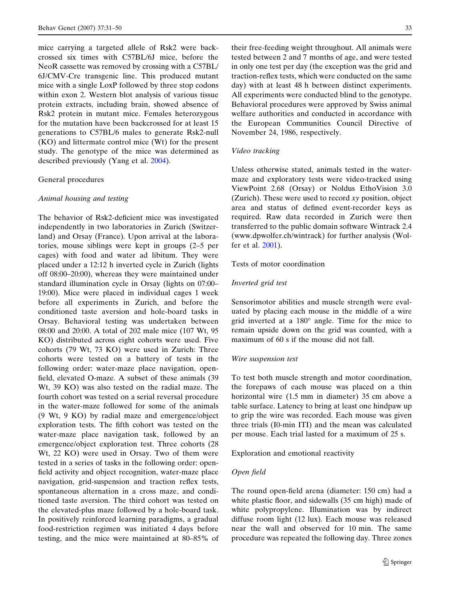mice carrying a targeted allele of Rsk2 were backcrossed six times with C57BL/6J mice, before the NeoR cassette was removed by crossing with a C57BL/ 6J/CMV-Cre transgenic line. This produced mutant mice with a single LoxP followed by three stop codons within exon 2. Western blot analysis of various tissue protein extracts, including brain, showed absence of Rsk2 protein in mutant mice. Females heterozygous for the mutation have been backcrossed for at least 15 generations to C57BL/6 males to generate Rsk2-null (KO) and littermate control mice (Wt) for the present study. The genotype of the mice was determined as described previously (Yang et al. [2004](#page-20-0)).

## General procedures

# Animal housing and testing

The behavior of Rsk2-deficient mice was investigated independently in two laboratories in Zurich (Switzerland) and Orsay (France). Upon arrival at the laboratories, mouse siblings were kept in groups (2–5 per cages) with food and water ad libitum. They were placed under a 12:12 h inverted cycle in Zurich (lights off 08:00–20:00), whereas they were maintained under standard illumination cycle in Orsay (lights on 07:00– 19:00). Mice were placed in individual cages 1 week before all experiments in Zurich, and before the conditioned taste aversion and hole-board tasks in Orsay. Behavioral testing was undertaken between 08:00 and 20:00. A total of 202 male mice (107 Wt, 95 KO) distributed across eight cohorts were used. Five cohorts (79 Wt, 73 KO) were used in Zurich: Three cohorts were tested on a battery of tests in the following order: water-maze place navigation, openfield, elevated O-maze. A subset of these animals (39 Wt, 39 KO) was also tested on the radial maze. The fourth cohort was tested on a serial reversal procedure in the water-maze followed for some of the animals (9 Wt, 9 KO) by radial maze and emergence/object exploration tests. The fifth cohort was tested on the water-maze place navigation task, followed by an emergence/object exploration test. Three cohorts (28 Wt, 22 KO) were used in Orsay. Two of them were tested in a series of tasks in the following order: openfield activity and object recognition, water-maze place navigation, grid-suspension and traction reflex tests, spontaneous alternation in a cross maze, and conditioned taste aversion. The third cohort was tested on the elevated-plus maze followed by a hole-board task. In positively reinforced learning paradigms, a gradual food-restriction regimen was initiated 4 days before testing, and the mice were maintained at 80–85% of

their free-feeding weight throughout. All animals were tested between 2 and 7 months of age, and were tested in only one test per day (the exception was the grid and traction-reflex tests, which were conducted on the same day) with at least 48 h between distinct experiments. All experiments were conducted blind to the genotype. Behavioral procedures were approved by Swiss animal welfare authorities and conducted in accordance with the European Communities Council Directive of November 24, 1986, respectively.

## Video tracking

Unless otherwise stated, animals tested in the watermaze and exploratory tests were video-tracked using ViewPoint 2.68 (Orsay) or Noldus EthoVision 3.0 (Zurich). These were used to record xy position, object area and status of defined event-recorder keys as required. Raw data recorded in Zurich were then transferred to the public domain software Wintrack 2.4 (www.dpwolfer.ch/wintrack) for further analysis (Wolfer et al. [2001](#page-20-0)).

# Tests of motor coordination

# Inverted grid test

Sensorimotor abilities and muscle strength were evaluated by placing each mouse in the middle of a wire grid inverted at a  $180^{\circ}$  angle. Time for the mice to remain upside down on the grid was counted, with a maximum of 60 s if the mouse did not fall.

# Wire suspension test

To test both muscle strength and motor coordination, the forepaws of each mouse was placed on a thin horizontal wire (1.5 mm in diameter) 35 cm above a table surface. Latency to bring at least one hindpaw up to grip the wire was recorded. Each mouse was given three trials (I0-min ITI) and the mean was calculated per mouse. Each trial lasted for a maximum of 25 s.

Exploration and emotional reactivity

# Open field

The round open-field arena (diameter: 150 cm) had a white plastic floor, and sidewalls (35 cm high) made of white polypropylene. Illumination was by indirect diffuse room light (12 lux). Each mouse was released near the wall and observed for 10 min. The same procedure was repeated the following day. Three zones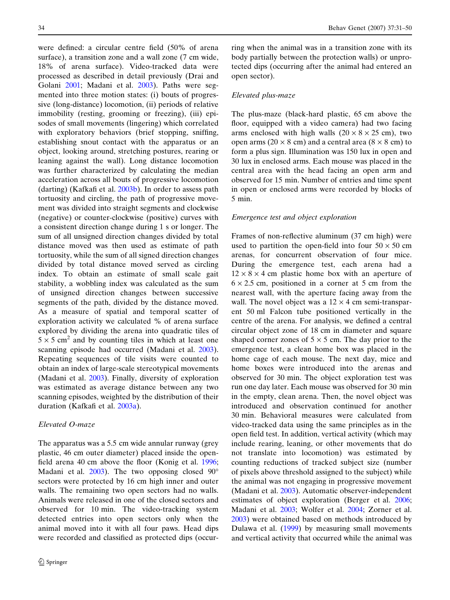were defined: a circular centre field (50% of arena surface), a transition zone and a wall zone (7 cm wide, 18% of arena surface). Video-tracked data were processed as described in detail previously (Drai and Golani [2001](#page-18-0); Madani et al. [2003](#page-19-0)). Paths were segmented into three motion states: (i) bouts of progressive (long-distance) locomotion, (ii) periods of relative immobility (resting, grooming or freezing), (iii) episodes of small movements (lingering) which correlated with exploratory behaviors (brief stopping, sniffing, establishing snout contact with the apparatus or an object, looking around, stretching postures, rearing or leaning against the wall). Long distance locomotion was further characterized by calculating the median acceleration across all bouts of progressive locomotion (darting) (Kafkafi et al. [2003b](#page-19-0)). In order to assess path tortuosity and circling, the path of progressive movement was divided into straight segments and clockwise (negative) or counter-clockwise (positive) curves with a consistent direction change during 1 s or longer. The sum of all unsigned direction changes divided by total distance moved was then used as estimate of path tortuosity, while the sum of all signed direction changes divided by total distance moved served as circling index. To obtain an estimate of small scale gait stability, a wobbling index was calculated as the sum of unsigned direction changes between successive segments of the path, divided by the distance moved. As a measure of spatial and temporal scatter of exploration activity we calculated % of arena surface explored by dividing the arena into quadratic tiles of  $5 \times 5$  cm<sup>2</sup> and by counting tiles in which at least one scanning episode had occurred (Madani et al. [2003](#page-19-0)). Repeating sequences of tile visits were counted to obtain an index of large-scale stereotypical movements (Madani et al. [2003\)](#page-19-0). Finally, diversity of exploration was estimated as average distance between any two scanning episodes, weighted by the distribution of their duration (Kafkafi et al. [2003a](#page-19-0)).

# Elevated O-maze

The apparatus was a 5.5 cm wide annular runway (grey plastic, 46 cm outer diameter) placed inside the openfield arena 40 cm above the floor (Konig et al. [1996](#page-19-0); Madani et al. [2003\)](#page-19-0). The two opposing closed  $90^{\circ}$ sectors were protected by 16 cm high inner and outer walls. The remaining two open sectors had no walls. Animals were released in one of the closed sectors and observed for 10 min. The video-tracking system detected entries into open sectors only when the animal moved into it with all four paws. Head dips were recorded and classified as protected dips (occurring when the animal was in a transition zone with its body partially between the protection walls) or unprotected dips (occurring after the animal had entered an open sector).

# Elevated plus-maze

The plus-maze (black-hard plastic, 65 cm above the floor, equipped with a video camera) had two facing arms enclosed with high walls  $(20 \times 8 \times 25$  cm), two open arms (20  $\times$  8 cm) and a central area (8  $\times$  8 cm) to form a plus sign. Illumination was 150 lux in open and 30 lux in enclosed arms. Each mouse was placed in the central area with the head facing an open arm and observed for 15 min. Number of entries and time spent in open or enclosed arms were recorded by blocks of 5 min.

## Emergence test and object exploration

Frames of non-reflective aluminum (37 cm high) were used to partition the open-field into four  $50 \times 50$  cm arenas, for concurrent observation of four mice. During the emergence test, each arena had a  $12 \times 8 \times 4$  cm plastic home box with an aperture of  $6 \times 2.5$  cm, positioned in a corner at 5 cm from the nearest wall, with the aperture facing away from the wall. The novel object was a  $12 \times 4$  cm semi-transparent 50 ml Falcon tube positioned vertically in the centre of the arena. For analysis, we defined a central circular object zone of 18 cm in diameter and square shaped corner zones of  $5 \times 5$  cm. The day prior to the emergence test, a clean home box was placed in the home cage of each mouse. The next day, mice and home boxes were introduced into the arenas and observed for 30 min. The object exploration test was run one day later. Each mouse was observed for 30 min in the empty, clean arena. Then, the novel object was introduced and observation continued for another 30 min. Behavioral measures were calculated from video-tracked data using the same principles as in the open field test. In addition, vertical activity (which may include rearing, leaning, or other movements that do not translate into locomotion) was estimated by counting reductions of tracked subject size (number of pixels above threshold assigned to the subject) while the animal was not engaging in progressive movement (Madani et al. [2003](#page-19-0)). Automatic observer-independent estimates of object exploration (Berger et al. [2006](#page-18-0); Madani et al. [2003](#page-19-0); Wolfer et al. [2004;](#page-20-0) Zorner et al. [2003](#page-20-0)) were obtained based on methods introduced by Dulawa et al. [\(1999](#page-18-0)) by measuring small movements and vertical activity that occurred while the animal was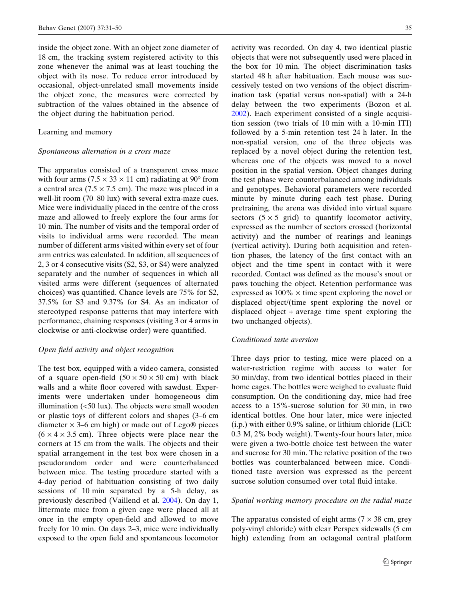inside the object zone. With an object zone diameter of 18 cm, the tracking system registered activity to this zone whenever the animal was at least touching the object with its nose. To reduce error introduced by occasional, object-unrelated small movements inside the object zone, the measures were corrected by subtraction of the values obtained in the absence of the object during the habituation period.

# Learning and memory

#### Spontaneous alternation in a cross maze

The apparatus consisted of a transparent cross maze with four arms (7.5  $\times$  33  $\times$  11 cm) radiating at 90 $^{\circ}$  from a central area ( $7.5 \times 7.5$  cm). The maze was placed in a well-lit room (70–80 lux) with several extra-maze cues. Mice were individually placed in the centre of the cross maze and allowed to freely explore the four arms for 10 min. The number of visits and the temporal order of visits to individual arms were recorded. The mean number of different arms visited within every set of four arm entries was calculated. In addition, all sequences of 2, 3 or 4 consecutive visits (S2, S3, or S4) were analyzed separately and the number of sequences in which all visited arms were different (sequences of alternated choices) was quantified. Chance levels are 75% for S2, 37.5% for S3 and 9.37% for S4. As an indicator of stereotyped response patterns that may interfere with performance, chaining responses (visiting 3 or 4 arms in clockwise or anti-clockwise order) were quantified.

# Open field activity and object recognition

The test box, equipped with a video camera, consisted of a square open-field  $(50 \times 50 \times 50 \text{ cm})$  with black walls and a white floor covered with sawdust. Experiments were undertaken under homogeneous dim illumination  $\left( < 50 \right)$  lux). The objects were small wooden or plastic toys of different colors and shapes (3–6 cm diameter  $\times$  3–6 cm high) or made out of Lego $\circledR$  pieces  $(6 \times 4 \times 3.5 \text{ cm})$ . Three objects were place near the corners at 15 cm from the walls. The objects and their spatial arrangement in the test box were chosen in a pseudorandom order and were counterbalanced between mice. The testing procedure started with a 4-day period of habituation consisting of two daily sessions of 10 min separated by a 5-h delay, as previously described (Vaillend et al. [2004](#page-20-0)). On day 1, littermate mice from a given cage were placed all at once in the empty open-field and allowed to move freely for 10 min. On days 2–3, mice were individually exposed to the open field and spontaneous locomotor

activity was recorded. On day 4, two identical plastic objects that were not subsequently used were placed in the box for 10 min. The object discrimination tasks started 48 h after habituation. Each mouse was successively tested on two versions of the object discrimination task (spatial versus non-spatial) with a 24-h delay between the two experiments (Bozon et al. [2002](#page-18-0)). Each experiment consisted of a single acquisition session (two trials of 10 min with a 10-min ITI) followed by a 5-min retention test 24 h later. In the non-spatial version, one of the three objects was replaced by a novel object during the retention test, whereas one of the objects was moved to a novel position in the spatial version. Object changes during the test phase were counterbalanced among individuals and genotypes. Behavioral parameters were recorded minute by minute during each test phase. During pretraining, the arena was divided into virtual square sectors  $(5 \times 5 \text{ grid})$  to quantify locomotor activity, expressed as the number of sectors crossed (horizontal activity) and the number of rearings and leanings (vertical activity). During both acquisition and retention phases, the latency of the first contact with an object and the time spent in contact with it were recorded. Contact was defined as the mouse's snout or paws touching the object. Retention performance was expressed as  $100\% \times$  time spent exploring the novel or displaced object/(time spent exploring the novel or displaced object + average time spent exploring the two unchanged objects).

# Conditioned taste aversion

Three days prior to testing, mice were placed on a water-restriction regime with access to water for 30 min/day, from two identical bottles placed in their home cages. The bottles were weighed to evaluate fluid consumption. On the conditioning day, mice had free access to a 15%-sucrose solution for 30 min, in two identical bottles. One hour later, mice were injected (i.p.) with either 0.9% saline, or lithium chloride (LiCl: 0.3 M, 2% body weight). Twenty-four hours later, mice were given a two-bottle choice test between the water and sucrose for 30 min. The relative position of the two bottles was counterbalanced between mice. Conditioned taste aversion was expressed as the percent sucrose solution consumed over total fluid intake.

# Spatial working memory procedure on the radial maze

The apparatus consisted of eight arms ( $7 \times 38$  cm, grey poly-vinyl chloride) with clear Perspex sidewalls (5 cm high) extending from an octagonal central platform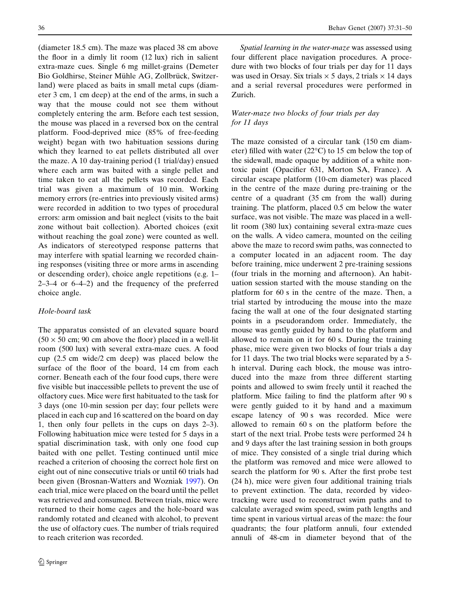(diameter 18.5 cm). The maze was placed 38 cm above the floor in a dimly lit room (12 lux) rich in salient extra-maze cues. Single 6 mg millet-grains (Demeter Bio Goldhirse, Steiner Mühle AG, Zollbrück, Switzerland) were placed as baits in small metal cups (diameter 3 cm, 1 cm deep) at the end of the arms, in such a way that the mouse could not see them without completely entering the arm. Before each test session, the mouse was placed in a reversed box on the central platform. Food-deprived mice (85% of free-feeding weight) began with two habituation sessions during which they learned to eat pellets distributed all over the maze. A 10 day-training period (1 trial/day) ensued where each arm was baited with a single pellet and time taken to eat all the pellets was recorded. Each trial was given a maximum of 10 min. Working memory errors (re-entries into previously visited arms) were recorded in addition to two types of procedural errors: arm omission and bait neglect (visits to the bait zone without bait collection). Aborted choices (exit without reaching the goal zone) were counted as well. As indicators of stereotyped response patterns that may interfere with spatial learning we recorded chaining responses (visiting three or more arms in ascending or descending order), choice angle repetitions (e.g. 1– 2–3–4 or 6–4–2) and the frequency of the preferred choice angle.

# Hole-board task

The apparatus consisted of an elevated square board  $(50 \times 50 \text{ cm}; 90 \text{ cm}$  above the floor) placed in a well-lit room (500 lux) with several extra-maze cues. A food cup (2.5 cm wide/2 cm deep) was placed below the surface of the floor of the board, 14 cm from each corner. Beneath each of the four food cups, there were five visible but inaccessible pellets to prevent the use of olfactory cues. Mice were first habituated to the task for 3 days (one 10-min session per day; four pellets were placed in each cup and 16 scattered on the board on day 1, then only four pellets in the cups on days 2–3). Following habituation mice were tested for 5 days in a spatial discrimination task, with only one food cup baited with one pellet. Testing continued until mice reached a criterion of choosing the correct hole first on eight out of nine consecutive trials or until 60 trials had been given (Brosnan-Watters and Wozniak [1997\)](#page-18-0). On each trial, mice were placed on the board until the pellet was retrieved and consumed. Between trials, mice were returned to their home cages and the hole-board was randomly rotated and cleaned with alcohol, to prevent the use of olfactory cues. The number of trials required to reach criterion was recorded.

Spatial learning in the water-maze was assessed using four different place navigation procedures. A procedure with two blocks of four trials per day for 11 days was used in Orsay. Six trials  $\times$  5 days, 2 trials  $\times$  14 days and a serial reversal procedures were performed in Zurich.

# Water-maze two blocks of four trials per day for 11 days

The maze consisted of a circular tank (150 cm diameter) filled with water  $(22^{\circ}C)$  to 15 cm below the top of the sidewall, made opaque by addition of a white nontoxic paint (Opacifier 631, Morton SA, France). A circular escape platform (10-cm diameter) was placed in the centre of the maze during pre-training or the centre of a quadrant (35 cm from the wall) during training. The platform, placed 0.5 cm below the water surface, was not visible. The maze was placed in a welllit room (380 lux) containing several extra-maze cues on the walls. A video camera, mounted on the ceiling above the maze to record swim paths, was connected to a computer located in an adjacent room. The day before training, mice underwent 2 pre-training sessions (four trials in the morning and afternoon). An habituation session started with the mouse standing on the platform for 60 s in the centre of the maze. Then, a trial started by introducing the mouse into the maze facing the wall at one of the four designated starting points in a pseudorandom order. Immediately, the mouse was gently guided by hand to the platform and allowed to remain on it for 60 s. During the training phase, mice were given two blocks of four trials a day for 11 days. The two trial blocks were separated by a 5 h interval. During each block, the mouse was introduced into the maze from three different starting points and allowed to swim freely until it reached the platform. Mice failing to find the platform after 90 s were gently guided to it by hand and a maximum escape latency of 90 s was recorded. Mice were allowed to remain 60 s on the platform before the start of the next trial. Probe tests were performed 24 h and 9 days after the last training session in both groups of mice. They consisted of a single trial during which the platform was removed and mice were allowed to search the platform for 90 s. After the first probe test (24 h), mice were given four additional training trials to prevent extinction. The data, recorded by videotracking were used to reconstruct swim paths and to calculate averaged swim speed, swim path lengths and time spent in various virtual areas of the maze: the four quadrants; the four platform annuli, four extended annuli of 48-cm in diameter beyond that of the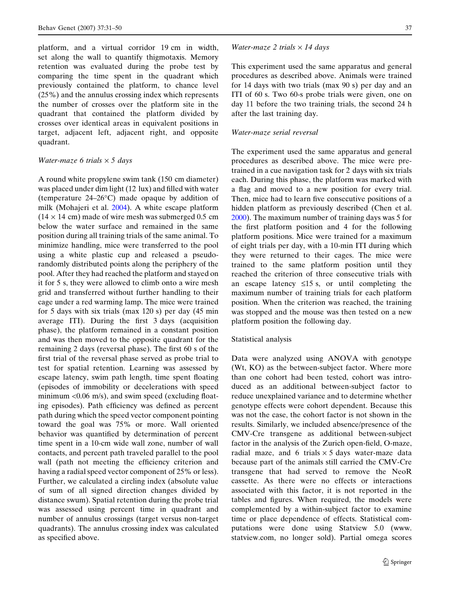platform, and a virtual corridor 19 cm in width, set along the wall to quantify thigmotaxis. Memory retention was evaluated during the probe test by comparing the time spent in the quadrant which previously contained the platform, to chance level (25%) and the annulus crossing index which represents the number of crosses over the platform site in the quadrant that contained the platform divided by crosses over identical areas in equivalent positions in target, adjacent left, adjacent right, and opposite quadrant.

# Water-maze 6 trials  $\times$  5 days

A round white propylene swim tank (150 cm diameter) was placed under dim light (12 lux) and filled with water (temperature  $24-26$ °C) made opaque by addition of milk (Mohajeri et al. [2004\)](#page-19-0). A white escape platform  $(14 \times 14 \text{ cm})$  made of wire mesh was submerged 0.5 cm below the water surface and remained in the same position during all training trials of the same animal. To minimize handling, mice were transferred to the pool using a white plastic cup and released a pseudorandomly distributed points along the periphery of the pool. After they had reached the platform and stayed on it for 5 s, they were allowed to climb onto a wire mesh grid and transferred without further handling to their cage under a red warming lamp. The mice were trained for 5 days with six trials (max 120 s) per day (45 min average ITI). During the first 3 days (acquisition phase), the platform remained in a constant position and was then moved to the opposite quadrant for the remaining 2 days (reversal phase). The first 60 s of the first trial of the reversal phase served as probe trial to test for spatial retention. Learning was assessed by escape latency, swim path length, time spent floating (episodes of immobility or decelerations with speed minimum  $< 0.06$  m/s), and swim speed (excluding floating episodes). Path efficiency was defined as percent path during which the speed vector component pointing toward the goal was 75% or more. Wall oriented behavior was quantified by determination of percent time spent in a 10-cm wide wall zone, number of wall contacts, and percent path traveled parallel to the pool wall (path not meeting the efficiency criterion and having a radial speed vector component of 25% or less). Further, we calculated a circling index (absolute value of sum of all signed direction changes divided by distance swum). Spatial retention during the probe trial was assessed using percent time in quadrant and number of annulus crossings (target versus non-target quadrants). The annulus crossing index was calculated as specified above.

#### Water-maze 2 trials  $\times$  14 days

This experiment used the same apparatus and general procedures as described above. Animals were trained for 14 days with two trials (max 90 s) per day and an ITI of 60 s. Two 60-s probe trials were given, one on day 11 before the two training trials, the second 24 h after the last training day.

## Water-maze serial reversal

The experiment used the same apparatus and general procedures as described above. The mice were pretrained in a cue navigation task for 2 days with six trials each. During this phase, the platform was marked with a flag and moved to a new position for every trial. Then, mice had to learn five consecutive positions of a hidden platform as previously described (Chen et al. [2000](#page-18-0)). The maximum number of training days was 5 for the first platform position and 4 for the following platform positions. Mice were trained for a maximum of eight trials per day, with a 10-min ITI during which they were returned to their cages. The mice were trained to the same platform position until they reached the criterion of three consecutive trials with an escape latency  $\leq 15$  s, or until completing the maximum number of training trials for each platform position. When the criterion was reached, the training was stopped and the mouse was then tested on a new platform position the following day.

# Statistical analysis

Data were analyzed using ANOVA with genotype (Wt, KO) as the between-subject factor. Where more than one cohort had been tested, cohort was introduced as an additional between-subject factor to reduce unexplained variance and to determine whether genotype effects were cohort dependent. Because this was not the case, the cohort factor is not shown in the results. Similarly, we included absence/presence of the CMV-Cre transgene as additional between-subject factor in the analysis of the Zurich open-field, O-maze, radial maze, and 6 trials  $\times$  5 days water-maze data because part of the animals still carried the CMV-Cre transgene that had served to remove the NeoR cassette. As there were no effects or interactions associated with this factor, it is not reported in the tables and figures. When required, the models were complemented by a within-subject factor to examine time or place dependence of effects. Statistical computations were done using Statview 5.0 (www. statview.com, no longer sold). Partial omega scores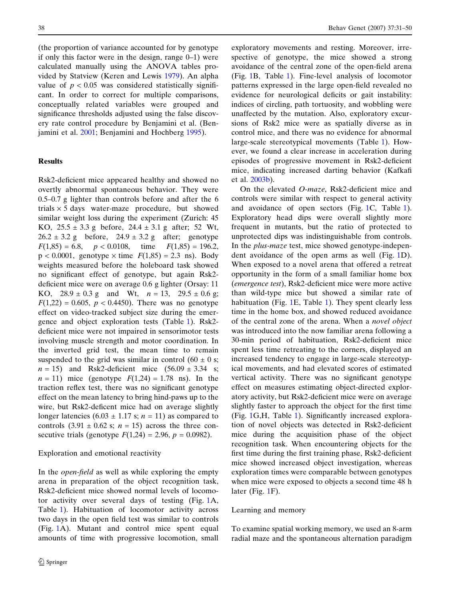(the proportion of variance accounted for by genotype if only this factor were in the design, range 0–1) were calculated manually using the ANOVA tables provided by Statview (Keren and Lewis [1979\)](#page-19-0). An alpha value of  $p < 0.05$  was considered statistically significant. In order to correct for multiple comparisons, conceptually related variables were grouped and significance thresholds adjusted using the false discovery rate control procedure by Benjamini et al. (Benjamini et al. [2001](#page-18-0); Benjamini and Hochberg [1995](#page-18-0)).

# Results

Rsk2-deficient mice appeared healthy and showed no overtly abnormal spontaneous behavior. They were 0.5–0.7 g lighter than controls before and after the 6 trials  $\times$  5 days water-maze procedure, but showed similar weight loss during the experiment (Zurich: 45 KO,  $25.5 \pm 3.3$  g before,  $24.4 \pm 3.1$  g after; 52 Wt,  $26.2 \pm 3.2$  g before,  $24.9 \pm 3.2$  g after; genotype  $F(1,85) = 6.8$ ,  $p < 0.0108$ , time  $F(1,85) = 196.2$ ,  $p < 0.0001$ , genotype  $\times$  time  $F(1,85) = 2.3$  ns). Body weights measured before the holeboard task showed no significant effect of genotype, but again Rsk2 deficient mice were on average 0.6 g lighter (Orsay: 11 KO,  $28.9 \pm 0.3$  g and Wt,  $n = 13$ ,  $29.5 \pm 0.6$  g;  $F(1,22) = 0.605$ ,  $p < 0.4450$ ). There was no genotype effect on video-tracked subject size during the emergence and object exploration tests (Table [1](#page-9-0)). Rsk2 deficient mice were not impaired in sensorimotor tests involving muscle strength and motor coordination. In the inverted grid test, the mean time to remain suspended to the grid was similar in control  $(60 \pm 0 \text{ s};$  $n = 15$ ) and Rsk2-deficient mice  $(56.09 \pm 3.34 \text{ s};$  $n = 11$ ) mice (genotype  $F(1,24) = 1.78$  ns). In the traction reflex test, there was no significant genotype effect on the mean latency to bring hind-paws up to the wire, but Rsk2-deficent mice had on average slightly longer latencies (6.03  $\pm$  1.17 s; *n* = 11) as compared to controls  $(3.91 \pm 0.62 \text{ s}; n = 15)$  across the three consecutive trials (genotype  $F(1,24) = 2.96, p = 0.0982$ ).

# Exploration and emotional reactivity

In the open-field as well as while exploring the empty arena in preparation of the object recognition task, Rsk2-deficient mice showed normal levels of locomotor activity over several days of testing (Fig. [1A](#page-10-0), Table [1\)](#page-9-0). Habituation of locomotor activity across two days in the open field test was similar to controls (Fig. [1A](#page-10-0)). Mutant and control mice spent equal amounts of time with progressive locomotion, small

exploratory movements and resting. Moreover, irrespective of genotype, the mice showed a strong avoidance of the central zone of the open-field arena (Fig. [1](#page-10-0)B, Table [1\)](#page-9-0). Fine-level analysis of locomotor patterns expressed in the large open-field revealed no evidence for neurological deficits or gait instability: indices of circling, path tortuosity, and wobbling were unaffected by the mutation. Also, exploratory excursions of Rsk2 mice were as spatially diverse as in control mice, and there was no evidence for abnormal large-scale stereotypical movements (Table [1](#page-9-0)). However, we found a clear increase in acceleration during episodes of progressive movement in Rsk2-deficient mice, indicating increased darting behavior (Kafkafi et al. [2003b](#page-19-0)).

On the elevated O-maze, Rsk2-deficient mice and controls were similar with respect to general activity and avoidance of open sectors (Fig. [1C](#page-10-0), Table [1](#page-9-0)). Exploratory head dips were overall slightly more frequent in mutants, but the ratio of protected to unprotected dips was indistinguishable from controls. In the plus-maze test, mice showed genotype-independent avoidance of the open arms as well (Fig. [1D](#page-10-0)). When exposed to a novel arena that offered a retreat opportunity in the form of a small familiar home box (emergence test), Rsk2-deficient mice were more active than wild-type mice but showed a similar rate of habituation (Fig. [1](#page-10-0)E, Table [1\)](#page-9-0). They spent clearly less time in the home box, and showed reduced avoidance of the central zone of the arena. When a novel object was introduced into the now familiar arena following a 30-min period of habituation, Rsk2-deficient mice spent less time retreating to the corners, displayed an increased tendency to engage in large-scale stereotypical movements, and had elevated scores of estimated vertical activity. There was no significant genotype effect on measures estimating object-directed exploratory activity, but Rsk2-deficient mice were on average slightly faster to approach the object for the first time (Fig. [1](#page-10-0)G,H, Table [1\)](#page-9-0). Significantly increased exploration of novel objects was detected in Rsk2-deficient mice during the acquisition phase of the object recognition task. When encountering objects for the first time during the first training phase, Rsk2-deficient mice showed increased object investigation, whereas exploration times were comparable between genotypes when mice were exposed to objects a second time 48 h later (Fig. [1](#page-10-0)F).

## Learning and memory

To examine spatial working memory, we used an 8-arm radial maze and the spontaneous alternation paradigm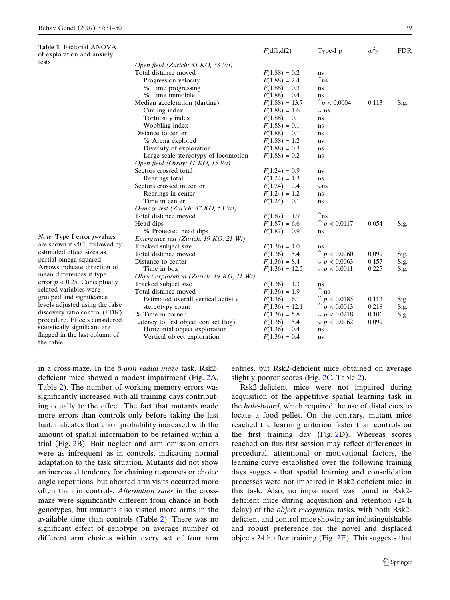<span id="page-9-0"></span>Table 1 Factorial ANOVA of exploration and anxiety tests

|                                           | F(df1, df2)      | Type-I p                | $\omega^2$ <sub>P</sub> | <b>FDR</b> |
|-------------------------------------------|------------------|-------------------------|-------------------------|------------|
| Open field (Zurich: 45 KO, 53 Wt)         |                  |                         |                         |            |
| Total distance moved                      | $F(1,88) = 0.2$  | ns.                     |                         |            |
| Progression velocity                      | $F(1,88) = 2.4$  | $\uparrow$ ns           |                         |            |
| % Time progressing                        | $F(1,88) = 0.3$  | ns                      |                         |            |
| % Time immobile                           | $F(1,88) = 0.4$  | ns                      |                         |            |
| Median acceleration (darting)             | $F(1,88) = 13.7$ | p < 0.0004              | 0.113                   | Sig.       |
| Circling index                            | $F(1,88) = 1.6$  | $\downarrow$ ns         |                         |            |
| Tortuosity index                          | $F(1,88) = 0.1$  | ns                      |                         |            |
| Wobbling index                            | $F(1,88) = 0.1$  | ns                      |                         |            |
| Distance to center                        | $F(1,88) = 0.1$  | ns                      |                         |            |
| % Arena explored                          | $F(1,88) = 1.2$  | ns                      |                         |            |
| Diversity of exploration                  | $F(1,88) = 0.3$  | ns                      |                         |            |
| Large-scale stereotypy of locomotion      | $F(1,88) = 0.2$  | ns                      |                         |            |
| Open field (Orsay: 11 KO, 15 Wt)          |                  |                         |                         |            |
| Sectors crossed total                     | $F(1,24) = 0.9$  | ns                      |                         |            |
| Rearings total                            | $F(1,24) = 1.3$  | ns                      |                         |            |
| Sectors crossed in center                 | $F(1,24) = 2.4$  | $\downarrow$ ns         |                         |            |
| Rearings in center                        | $F(1,24) = 1.2$  | ns                      |                         |            |
| Time in center                            | $F(1,24) = 0.1$  | ns                      |                         |            |
| O-maze test (Zurich: 47 KO, 53 Wt)        |                  |                         |                         |            |
| Total distance moved                      | $F(1,87) = 1.9$  | $\uparrow$ ns           |                         |            |
| Head dips                                 | $F(1,87) = 6.6$  | $\uparrow$ p < 0.0117   | 0.054                   | Sig.       |
| % Protected head dips                     | $F(1,87) = 0.9$  | ns                      |                         |            |
| Emergence test (Zurich: 19 KO, 21 Wt)     |                  |                         |                         |            |
| Tracked subject size                      | $F(1,36) = 1.0$  | ns                      |                         |            |
| Total distance moved                      | $F(1,36) = 5.4$  | p < 0.0260              | 0.099                   | Sig.       |
| Distance to center                        | $F(1,36) = 8.4$  | $\downarrow p < 0.0063$ | 0.157                   | Sig.       |
| Time in box                               | $F(1,36) = 12.5$ | $\downarrow$ p < 0.0011 | 0.225                   | Sig.       |
| Object exploration (Zurich: 19 KO, 21 Wt) |                  |                         |                         |            |
| Tracked subject size                      | $F(1,36) = 1.3$  | ns                      |                         |            |
| Total distance moved                      | $F(1,36) = 1.9$  | $\uparrow$ ns           |                         |            |
| Estimated overall vertical activity       | $F(1,36) = 6.1$  | p < 0.0185              | 0.113                   | Sig        |
| stereotypy count                          | $F(1,36) = 12.1$ | $\uparrow$ p < 0.0013   | 0.218                   | Sig.       |
| % Time in corner                          | $F(1,36) = 5.8$  | $\downarrow$ p < 0.0218 | 0.106                   | Sig.       |
| Latency to first object contact (log)     | $F(1,36) = 5.4$  | $\downarrow p < 0.0262$ | 0.099                   |            |
| Horizontal object exploration             | $F(1,36) = 0.4$  | ns                      |                         |            |
| Vertical object exploration               | $F(1,36) = 0.4$  | ns                      |                         |            |

Note: Type I error p-values are shown if <0.1, followed by estimated effect sizes as partial omega squared. Arrows indicate direction of mean differences if type I error  $p < 0.25$ . Conceptually related variables were grouped and significance levels adjusted using the false discovery ratio control (FDR) procedure. Effects considered statistically significant are flagged in the last column of the table

in a cross-maze. In the 8-arm radial maze task, Rsk2 deficient mice showed a modest impairment (Fig. [2A](#page-11-0), Table [2\)](#page-12-0). The number of working memory errors was significantly increased with all training days contributing equally to the effect. The fact that mutants made more errors than controls only before taking the last bait, indicates that error probability increased with the amount of spatial information to be retained within a trial (Fig. [2](#page-11-0)B). Bait neglect and arm omission errors were as infrequent as in controls, indicating normal adaptation to the task situation. Mutants did not show an increased tendency for chaining responses or choice angle repetitions, but aborted arm visits occurred more often than in controls. Alternation rates in the crossmaze were significantly different from chance in both genotypes, but mutants also visited more arms in the available time than controls (Table [2\)](#page-12-0). There was no significant effect of genotype on average number of different arm choices within every set of four arm entries, but Rsk2-deficient mice obtained on average slightly poorer scores (Fig. [2C](#page-11-0), Table [2](#page-12-0)).

Rsk2-deficient mice were not impaired during acquisition of the appetitive spatial learning task in the hole-board, which required the use of distal cues to locate a food pellet. On the contrary, mutant mice reached the learning criterion faster than controls on the first training day (Fig. [2](#page-11-0)D). Whereas scores reached on this first session may reflect differences in procedural, attentional or motivational factors, the learning curve established over the following training days suggests that spatial learning and consolidation processes were not impaired in Rsk2-deficient mice in this task. Also, no impairment was found in Rsk2 deficient mice during acquisition and retention (24 h delay) of the *object recognition* tasks, with both Rsk2deficient and control mice showing an indistinguishable and robust preference for the novel and displaced objects 24 h after training (Fig. [2E](#page-11-0)). This suggests that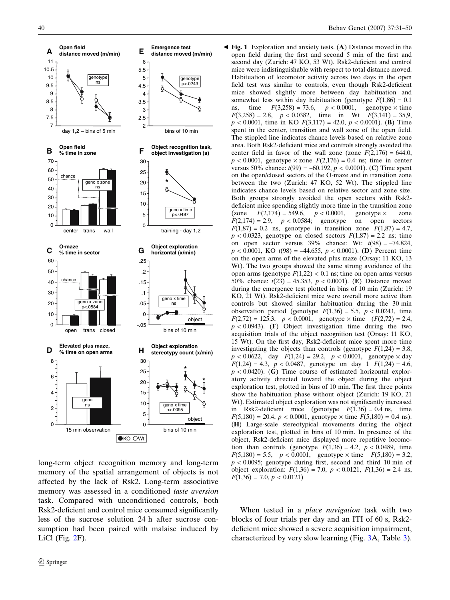<span id="page-10-0"></span>

long-term object recognition memory and long-term memory of the spatial arrangement of objects is not affected by the lack of Rsk2. Long-term associative memory was assessed in a conditioned taste aversion task. Compared with unconditioned controls, both Rsk2-deficient and control mice consumed significantly less of the sucrose solution 24 h after sucrose consumption had been paired with malaise induced by LiCl (Fig. [2F](#page-11-0)).

Fig. 1 Exploration and anxiety tests. (A) Distance moved in the b open field during the first and second 5 min of the first and second day (Zurich: 47 KO, 53 Wt). Rsk2-deficient and control mice were indistinguishable with respect to total distance moved. Habituation of locomotor activity across two days in the open field test was similar to controls, even though Rsk2-deficient mice showed slightly more between day habituation and somewhat less within day habituation (genotype  $F(1,86) = 0.1$ ) ns, time  $F(3,258) = 73.6$ ,  $p < 0.0001$ , genotype  $\times$  time  $F(3,258) = 2.8$ ,  $p < 0.0382$ , time in Wt  $F(3,141) = 35.9$ ,  $p < 0.0001$ , time in KO  $F(3,117) = 42.0, p < 0.0001$ . (B) Time spent in the center, transition and wall zone of the open field. The stippled line indicates chance levels based on relative zone area. Both Rsk2-deficient mice and controls strongly avoided the center field in favor of the wall zone (zone  $F(2,176) = 644.0$ ,  $p < 0.0001$ , genotype  $\times$  zone  $F(2,176) = 0.4$  ns; time in center versus 50% chance:  $t(99) = -60.192$ ,  $p < 0.0001$ ). (C) Time spent on the open/closed sectors of the O-maze and in transition zone between the two (Zurich: 47 KO, 52 Wt). The stippled line indicates chance levels based on relative sector and zone size. Both groups strongly avoided the open sectors with Rsk2 deficient mice spending slightly more time in the transition zone<br>(zone  $F(2,174) = 549.6$ ,  $p < 0.0001$ , genotype  $\times$  zone (zone  $F(2,174) = 549.6$ ,  $p < 0.0001$ , genotype  $\times$  zone  $F(2,174) = 2.9$ ,  $p < 0.0584$ ; genotype on open sectors  $F(1,87) = 0.2$  ns, genotype in transition zone  $F(1,87) = 4.7$ ,  $p < 0.0323$ , genotype on closed sectors  $F(1,87) = 2.2$  ns; time on open sector versus  $39\%$  chance: Wt:  $t(98) = -74.824$ ,  $p < 0.0001$ , KO  $t(98) = -44.655$ ,  $p < 0.0001$ ). (D) Percent time on the open arms of the elevated plus maze (Orsay: 11 KO, 13 Wt). The two groups showed the same strong avoidance of the open arms (genotype  $F(1,22)$  < 0.1 ns; time on open arms versus 50% chance:  $t(23) = 45.353$ ,  $p < 0.0001$ ). (E) Distance moved during the emergence test plotted in bins of 10 min (Zurich: 19 KO, 21 Wt). Rsk2-deficient mice were overall more active than controls but showed similar habituation during the 30 min observation period (genotype  $F(1,36) = 5.5$ ,  $p < 0.0243$ , time  $F(2,72) = 125.3$ ,  $p < 0.0001$ , genotype  $\times$  time  $(F(2,72) = 2.4$ ,  $p < 0.0943$ . (F) Object investigation time during the two acquisition trials of the object recognition test (Orsay: 11 KO, 15 Wt). On the first day, Rsk2-deficient mice spent more time investigating the objects than controls (genotype  $F(1,24) = 3.8$ ,  $p < 0.0622$ , day  $F(1,24) = 29.2$ ,  $p < 0.0001$ , genotype  $\times$  day  $F(1,24) = 4.3$ ,  $p < 0.0487$ , genotype on day 1  $F(1,24) = 4.6$ ,  $p < 0.0420$ . (G) Time course of estimated horizontal exploratory activity directed toward the object during the object exploration test, plotted in bins of 10 min. The first three points show the habituation phase without object (Zurich: 19 KO, 21 Wt). Estimated object exploration was not significantly increased in Rsk2-deficient mice (genotype  $F(1,36) = 0.4$  ns, time  $F(5,180) = 20.4$ ,  $p < 0.0001$ , genotype  $\times$  time  $F(5,180) = 0.4$  ns). (H) Large-scale stereotypical movements during the object exploration test, plotted in bins of 10 min. In presence of the object, Rsk2-deficient mice displayed more repetitive locomotion than controls (genotype  $F(1,36) = 4.2$ ,  $p < 0.0489$ , time  $F(5,180) = 5.5$ ,  $p < 0.0001$ , genotype  $\times$  time  $F(5,180) = 3.2$ ,  $p < 0.0095$ ; genotype during first, second and third 10 min of object exploration:  $F(1,36) = 7.0$ ,  $p < 0.0121$ ,  $F(1,36) = 2.4$  ns,  $F(1,36) = 7.0, p < 0.0121$ 

When tested in a *place navigation* task with two blocks of four trials per day and an ITI of 60 s, Rsk2 deficient mice showed a severe acquisition impairment, characterized by very slow learning (Fig. [3](#page-13-0)A, Table [3](#page-14-0)).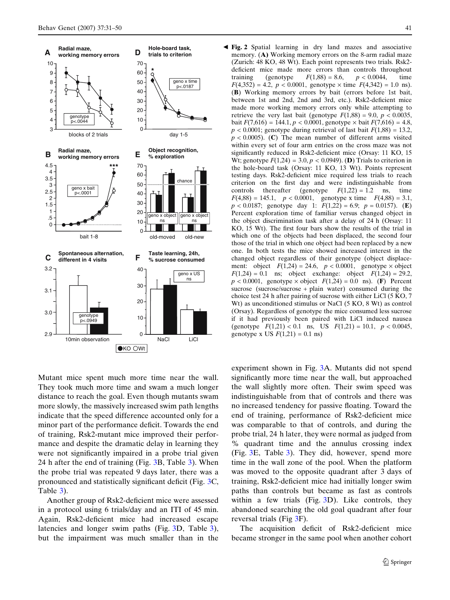<span id="page-11-0"></span>

Fig. 2 Spatial learning in dry land mazes and associative b memory. (A) Working memory errors on the 8-arm radial maze (Zurich: 48 KO, 48 Wt). Each point represents two trials. Rsk2 deficient mice made more errors than controls throughout training (genotype  $F(1,88) = 8.6$ ,  $p < 0.0044$ , time  $F(4,352) = 4.2$ ,  $p < 0.0001$ , genotype  $\times$  time  $F(4,342) = 1.0$  ns). (B) Working memory errors by bait (errors before 1st bait, between 1st and 2nd, 2nd and 3rd, etc.). Rsk2-deficient mice made more working memory errors only while attempting to retrieve the very last bait (genotype  $F(1,88) = 9.0$ ,  $p < 0.0035$ , bait  $F(7,616) = 144.1, p < 0.0001$ , genotype  $\times$  bait  $F(7,616) = 4.8$ ,  $p < 0.0001$ ; genotype during retrieval of last bait  $F(1,88) = 13.2$ ,  $p < 0.0005$ ). (C) The mean number of different arms visited within every set of four arm entries on the cross maze was not significantly reduced in Rsk2-deficient mice (Orsay: 11 KO, 15 Wt; genotype  $F(1,24) = 3.0, p < 0.0949$ . (D) Trials to criterion in the hole-board task (Orsay: 11 KO, 13 Wt). Points represent testing days. Rsk2-deficient mice required less trials to reach criterion on the first day and were indistinguishable from controls thereafter (genotype  $F(1,22) = 1.2$  ns, time  $F(4,88) = 145.1$ ,  $p < 0.0001$ , genotype x time  $F(4,88) = 3.1$ ,  $p < 0.0187$ ; genotype day 1:  $F(1,22) = 6.9$ ;  $p = 0.0157$ ). (E) Percent exploration time of familiar versus changed object in the object discrimination task after a delay of 24 h (Orsay: 11 KO, 15 Wt). The first four bars show the results of the trial in which one of the objects had been displaced, the second four those of the trial in which one object had been replaced by a new one. In both tests the mice showed increased interest in the changed object regardless of their genotype (object displacement: object  $F(1,24) = 24.6$ ,  $p < 0.0001$ , genotype  $\times$  object  $F(1,24) = 0.1$  ns; object exchange: object  $F(1,24) = 29.2$ ,  $p < 0.0001$ , genotype  $\times$  object  $F(1,24) = 0.0$  ns). (F) Percent sucrose (sucrose/sucrose + plain water) consumed during the choice test 24 h after pairing of sucrose with either LiCl (5 KO, 7 Wt) as unconditioned stimulus or NaCl (5 KO, 8 Wt) as control (Orsay). Regardless of genotype the mice consumed less sucrose if it had previously been paired with LiCl induced nausea (genotype  $F(1,21) < 0.1$  ns, US  $F(1,21) = 10.1$ ,  $p < 0.0045$ , genotype x US  $F(1,21) = 0.1$  ns)

Mutant mice spent much more time near the wall. They took much more time and swam a much longer distance to reach the goal. Even though mutants swam more slowly, the massively increased swim path lengths indicate that the speed difference accounted only for a minor part of the performance deficit. Towards the end of training, Rsk2-mutant mice improved their performance and despite the dramatic delay in learning they were not significantly impaired in a probe trial given 24 h after the end of training (Fig. [3B](#page-13-0), Table [3](#page-14-0)). When the probe trial was repeated 9 days later, there was a pronounced and statistically significant deficit (Fig. [3C](#page-13-0), Table [3\)](#page-14-0).

Another group of Rsk2-deficient mice were assessed in a protocol using 6 trials/day and an ITI of 45 min. Again, Rsk2-deficient mice had increased escape latencies and longer swim paths (Fig. [3D](#page-13-0), Table [3](#page-14-0)), but the impairment was much smaller than in the experiment shown in Fig. [3](#page-13-0)A. Mutants did not spend significantly more time near the wall, but approached the wall slightly more often. Their swim speed was indistinguishable from that of controls and there was no increased tendency for passive floating. Toward the end of training, performance of Rsk2-deficient mice was comparable to that of controls, and during the probe trial, 24 h later, they were normal as judged from % quadrant time and the annulus crossing index (Fig. [3](#page-13-0)E, Table [3\)](#page-14-0). They did, however, spend more time in the wall zone of the pool. When the platform was moved to the opposite quadrant after 3 days of training, Rsk2-deficient mice had initially longer swim paths than controls but became as fast as controls within a few trials (Fig. [3D](#page-13-0)). Like controls, they abandoned searching the old goal quadrant after four reversal trials (Fig [3](#page-13-0)F).

The acquisition deficit of Rsk2-deficient mice became stronger in the same pool when another cohort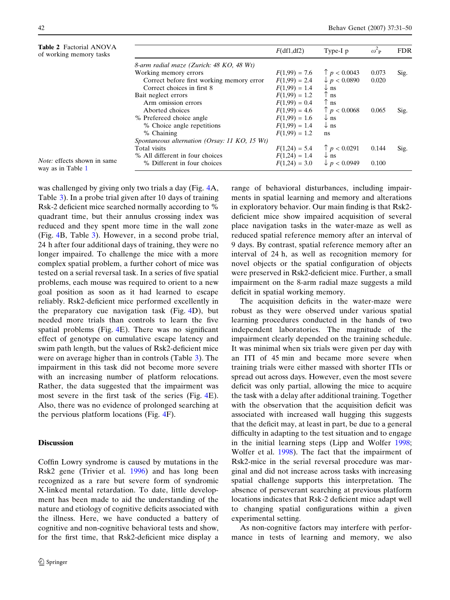<span id="page-12-0"></span>

| <b>Table 2 Factorial ANOVA</b><br>of working memory tasks |                                               | F(df1, df2)     | Type-I p                        | $\omega_P^2$ | <b>FDR</b> |
|-----------------------------------------------------------|-----------------------------------------------|-----------------|---------------------------------|--------------|------------|
|                                                           | 8-arm radial maze (Zurich: 48 KO, 48 Wt)      |                 |                                 |              |            |
|                                                           | Working memory errors                         | $F(1,99) = 7.6$ | p < 0.0043                      | 0.073        | Sig.       |
|                                                           | Correct before first working memory error     | $F(1,99) = 2.4$ | $\downarrow p < 0.0890$         | 0.020        |            |
|                                                           | Correct choices in first 8                    | $F(1,99) = 1.4$ | $\downarrow$ ns                 |              |            |
|                                                           | Bait neglect errors                           | $F(1,99) = 1.2$ | $\uparrow$ ns                   |              |            |
|                                                           | Arm omission errors                           | $F(1,99) = 0.4$ | $\uparrow$ ns                   |              |            |
|                                                           | Aborted choices                               | $F(1,99) = 4.6$ | $\lceil p \lceil 0.0068 \rceil$ | 0.065        | Sig.       |
|                                                           | % Prefereed choice angle                      | $F(1,99) = 1.6$ | $\downarrow$ ns                 |              |            |
|                                                           | % Choice angle repetitions                    | $F(1,99) = 1.4$ | $\downarrow$ ns                 |              |            |
|                                                           | % Chaining                                    | $F(1,99) = 1.2$ | ns                              |              |            |
|                                                           | Spontaneous alternation (Orsay: 11 KO, 15 Wt) |                 |                                 |              |            |
|                                                           | Total visits                                  | $F(1,24) = 5.4$ | p < 0.0291                      | 0.144        | Sig.       |
|                                                           | % All different in four choices               | $F(1,24) = 1.4$ | $\downarrow$ ns                 |              |            |
| <i>Note:</i> effects shown in same<br>way as in Table 1   | % Different in four choices                   | $F(1,24) = 3.0$ | $\nu > p < 0.0949$              | 0.100        |            |

was challenged by giving only two trials a day (Fig. [4A](#page-15-0), Table [3\)](#page-14-0). In a probe trial given after 10 days of training Rsk-2 deficient mice searched normally according to % quadrant time, but their annulus crossing index was reduced and they spent more time in the wall zone (Fig. [4B](#page-15-0), Table [3](#page-14-0)). However, in a second probe trial, 24 h after four additional days of training, they were no longer impaired. To challenge the mice with a more complex spatial problem, a further cohort of mice was tested on a serial reversal task. In a series of five spatial problems, each mouse was required to orient to a new goal position as soon as it had learned to escape reliably. Rsk2-deficient mice performed excellently in the preparatory cue navigation task (Fig. [4](#page-15-0)D), but needed more trials than controls to learn the five spatial problems (Fig. [4E](#page-15-0)). There was no significant effect of genotype on cumulative escape latency and swim path length, but the values of Rsk2-deficient mice were on average higher than in controls (Table [3](#page-14-0)). The impairment in this task did not become more severe with an increasing number of platform relocations. Rather, the data suggested that the impairment was most severe in the first task of the series (Fig. [4](#page-15-0)E). Also, there was no evidence of prolonged searching at the pervious platform locations (Fig. [4F](#page-15-0)).

## **Discussion**

Coffin Lowry syndrome is caused by mutations in the Rsk2 gene (Trivier et al. [1996\)](#page-20-0) and has long been recognized as a rare but severe form of syndromic X-linked mental retardation. To date, little development has been made to aid the understanding of the nature and etiology of cognitive deficits associated with the illness. Here, we have conducted a battery of cognitive and non-cognitive behavioral tests and show, for the first time, that Rsk2-deficient mice display a range of behavioral disturbances, including impairments in spatial learning and memory and alterations in exploratory behavior. Our main finding is that Rsk2 deficient mice show impaired acquisition of several place navigation tasks in the water-maze as well as reduced spatial reference memory after an interval of 9 days. By contrast, spatial reference memory after an interval of 24 h, as well as recognition memory for novel objects or the spatial configuration of objects were preserved in Rsk2-deficient mice. Further, a small impairment on the 8-arm radial maze suggests a mild deficit in spatial working memory.

The acquisition deficits in the water-maze were robust as they were observed under various spatial learning procedures conducted in the hands of two independent laboratories. The magnitude of the impairment clearly depended on the training schedule. It was minimal when six trials were given per day with an ITI of 45 min and became more severe when training trials were either massed with shorter ITIs or spread out across days. However, even the most severe deficit was only partial, allowing the mice to acquire the task with a delay after additional training. Together with the observation that the acquisition deficit was associated with increased wall hugging this suggests that the deficit may, at least in part, be due to a general difficulty in adapting to the test situation and to engage in the initial learning steps (Lipp and Wolfer [1998](#page-19-0); Wolfer et al. [1998\)](#page-20-0). The fact that the impairment of Rsk2-mice in the serial reversal procedure was marginal and did not increase across tasks with increasing spatial challenge supports this interpretation. The absence of perseverant searching at previous platform locations indicates that Rsk-2 deficient mice adapt well to changing spatial configurations within a given experimental setting.

As non-cognitive factors may interfere with performance in tests of learning and memory, we also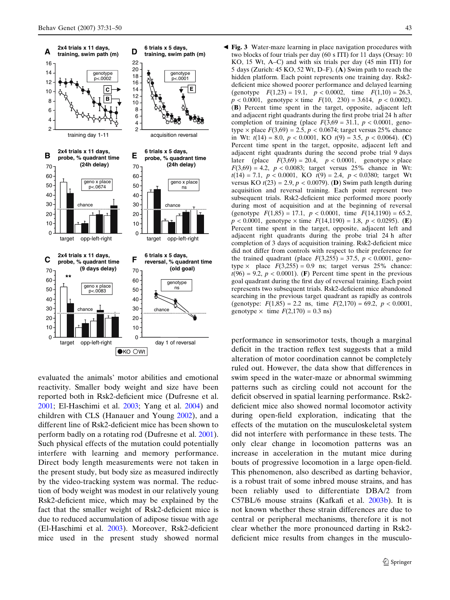<span id="page-13-0"></span>

evaluated the animals' motor abilities and emotional reactivity. Smaller body weight and size have been reported both in Rsk2-deficient mice (Dufresne et al. [2001](#page-18-0); El-Haschimi et al. [2003;](#page-18-0) Yang et al. [2004](#page-20-0)) and children with CLS (Hanauer and Young [2002\)](#page-19-0), and a different line of Rsk2-deficient mice has been shown to perform badly on a rotating rod (Dufresne et al. [2001](#page-18-0)). Such physical effects of the mutation could potentially interfere with learning and memory performance. Direct body length measurements were not taken in the present study, but body size as measured indirectly by the video-tracking system was normal. The reduction of body weight was modest in our relatively young Rsk2-deficient mice, which may be explained by the fact that the smaller weight of Rsk2-deficient mice is due to reduced accumulation of adipose tissue with age (El-Haschimi et al. [2003](#page-18-0)). Moreover, Rsk2-deficient mice used in the present study showed normal

Fig. 3 Water-maze learning in place navigation procedures with b two blocks of four trials per day (60 s ITI) for 11 days (Orsay: 10 KO, 15 Wt, A–C) and with six trials per day (45 min ITI) for 5 days (Zurich: 45 KO, 52 Wt, D–F). (A) Swim path to reach the hidden platform. Each point represents one training day. Rsk2 deficient mice showed poorer performance and delayed learning (genotype  $F(1,23) = 19.1$ ,  $p < 0.0002$ , time  $F(1,10) = 26.3$ ,  $p < 0.0001$ , genotype  $\times$  time  $F(10, 230) = 3.614$ ,  $p < 0.0002$ ). (B) Percent time spent in the target, opposite, adjacent left and adjacent right quadrants during the first probe trial 24 h after completion of training (place  $F(3,69 = 31.1, p < 0.0001,$  genotype  $\times$  place  $F(3,69) = 2.5$ ,  $p < 0.0674$ ; target versus 25% chance in Wt:  $t(14) = 8.0, p < 0.0001$ , KO  $t(9) = 3.5, p < 0.0064$ ). (C) Percent time spent in the target, opposite, adjacent left and adjacent right quadrants during the second probe trial 9 days later (place  $F(3,69) = 20.4$ ,  $p < 0.0001$ , genotype  $\times$  place  $F(3,69) = 4.2$ ,  $p < 0.0083$ ; target versus 25% chance in Wt:  $t(14) = 7.1, p < 0.0001, KO$   $t(9) = 2.4, p < 0.0380$ ; target Wt versus KO  $t(23) = 2.9$ ,  $p < 0.0079$ ). (D) Swim path length during acquisition and reversal training. Each point represent two subsequent trials. Rsk2-deficient mice performed more poorly during most of acquisition and at the beginning of reversal (genotype  $F(1,85) = 17.1$ ,  $p < 0.0001$ , time  $F(14,1190) = 65.2$ ,  $p < 0.0001$ , genotype  $\times$  time  $F(14,1190) = 1.8$ ,  $p < 0.0295$ ). (E) Percent time spent in the target, opposite, adjacent left and adjacent right quadrants during the probe trial 24 h after completion of 3 days of acquisition training. Rsk2-deficient mice did not differ from controls with respect to their preference for the trained quadrant (place  $F(3,255) = 37.5, p < 0.0001,$  genotype  $\times$  place  $F(3,255) = 0.9$  ns; target versus 25% chance:  $t(96) = 9.2$ ,  $p < 0.0001$ ). (F) Percent time spent in the previous goal quadrant during the first day of reversal training. Each point represents two subsequent trials. Rsk2-deficient mice abandoned searching in the previous target quadrant as rapidly as controls (genotype:  $F(1,85) = 2.2$  ns, time  $F(2,170) = 69.2$ ,  $p < 0.0001$ , genotype  $\times$  time  $F(2,170) = 0.3$  ns)

performance in sensorimotor tests, though a marginal deficit in the traction reflex test suggests that a mild alteration of motor coordination cannot be completely ruled out. However, the data show that differences in swim speed in the water-maze or abnormal swimming patterns such as circling could not account for the deficit observed in spatial learning performance. Rsk2 deficient mice also showed normal locomotor activity during open-field exploration, indicating that the effects of the mutation on the musculoskeletal system did not interfere with performance in these tests. The only clear change in locomotion patterns was an increase in acceleration in the mutant mice during bouts of progressive locomotion in a large open-field. This phenomenon, also described as darting behavior, is a robust trait of some inbred mouse strains, and has been reliably used to differentiate DBA/2 from C57BL/6 mouse strains (Kafkafi et al. [2003b](#page-19-0)). It is not known whether these strain differences are due to central or peripheral mechanisms, therefore it is not clear whether the more pronounced darting in Rsk2 deficient mice results from changes in the musculo-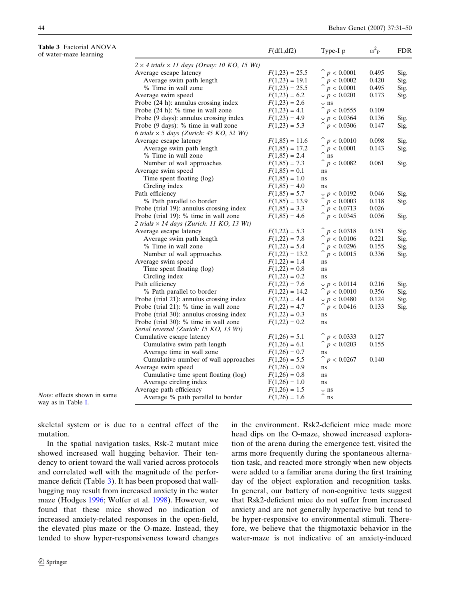<span id="page-14-0"></span>

| Table 3 Factorial ANOVA<br>of water-maze learning        |                                                            | F(df1, df2)      | Type-I p                | $\omega^2$ <sub>P</sub> | <b>FDR</b> |
|----------------------------------------------------------|------------------------------------------------------------|------------------|-------------------------|-------------------------|------------|
|                                                          | $2 \times 4$ trials $\times 11$ days (Orsay: 10 KO, 15 Wt) |                  |                         |                         |            |
|                                                          | Average escape latency                                     | $F(1,23) = 25.5$ | $\uparrow p < 0.0001$   | 0.495                   | Sig.       |
|                                                          | Average swim path length                                   | $F(1,23) = 19.1$ | $\uparrow$ p < 0.0002   | 0.420                   | Sig.       |
|                                                          | % Time in wall zone                                        | $F(1,23) = 25.5$ | $\uparrow$ p < 0.0001   | 0.495                   | Sig.       |
|                                                          | Average swim speed                                         | $F(1,23) = 6.2$  | $\downarrow$ p < 0.0201 | 0.173                   | Sig.       |
|                                                          | Probe (24 h): annulus crossing index                       | $F(1,23) = 2.6$  | $\downarrow$ ns         |                         |            |
|                                                          | Probe (24 h): % time in wall zone                          | $F(1,23) = 4.1$  | $\uparrow$ p < 0.0555   | 0.109                   |            |
|                                                          | Probe (9 days): annulus crossing index                     | $F(1,23) = 4.9$  | $\downarrow p < 0.0364$ | 0.136                   | Sig.       |
|                                                          | Probe (9 days): % time in wall zone                        | $F(1,23) = 5.3$  | $\uparrow$ p < 0.0306   | 0.147                   | Sig.       |
|                                                          | 6 trials $\times$ 5 days (Zurich: 45 KO, 52 Wt)            |                  |                         |                         |            |
|                                                          | Average escape latency                                     | $F(1,85) = 11.6$ | $\uparrow p < 0.0010$   | 0.098                   | Sig.       |
|                                                          | Average swim path length                                   | $F(1,85) = 17.2$ | p < 0.0001              | 0.143                   | Sig.       |
|                                                          | % Time in wall zone                                        | $F(1,85) = 2.4$  | $\uparrow$ ns           |                         |            |
|                                                          | Number of wall approaches                                  | $F(1,85) = 7.3$  | $\uparrow$ p < 0.0082   | 0.061                   | Sig.       |
|                                                          | Average swim speed                                         | $F(1,85) = 0.1$  | ns                      |                         |            |
|                                                          | Time spent floating (log)                                  | $F(1,85) = 1.0$  | ns                      |                         |            |
|                                                          | Circling index                                             | $F(1,85) = 4.0$  | ns                      |                         |            |
|                                                          | Path efficiency                                            | $F(1,85) = 5.7$  | $\downarrow p < 0.0192$ | 0.046                   | Sig.       |
|                                                          | % Path parallel to border                                  | $F(1,85) = 13.9$ | $\uparrow$ p < 0.0003   | 0.118                   | Sig.       |
|                                                          | Probe (trial 19): annulus crossing index                   | $F(1,85) = 3.3$  | $\uparrow$ p < 0.0713   | 0.026                   |            |
|                                                          | Probe (trial 19): % time in wall zone                      | $F(1,85) = 4.6$  | $\uparrow$ p < 0.0345   | 0.036                   | Sig.       |
|                                                          | 2 trials $\times$ 14 days (Zurich: 11 KO, 13 Wt)           |                  |                         |                         |            |
|                                                          | Average escape latency                                     | $F(1,22) = 5.3$  | $\uparrow p < 0.0318$   | 0.151                   | Sig.       |
|                                                          | Average swim path length                                   | $F(1,22) = 7.8$  | $\uparrow$ p < 0.0106   | 0.221                   | Sig.       |
|                                                          | % Time in wall zone                                        | $F(1,22) = 5.4$  | $\uparrow$ p < 0.0296   | 0.155                   | Sig.       |
|                                                          | Number of wall approaches                                  | $F(1,22) = 13.2$ | $\uparrow$ p < 0.0015   | 0.336                   | Sig.       |
|                                                          | Average swim speed                                         | $F(1,22) = 1.4$  | ns                      |                         |            |
|                                                          | Time spent floating (log)                                  | $F(1,22) = 0.8$  | ns                      |                         |            |
|                                                          | Circling index                                             | $F(1,22) = 0.2$  | ns                      |                         |            |
|                                                          | Path efficiency                                            | $F(1,22) = 7.6$  | $\downarrow$ p < 0.0114 | 0.216                   | Sig.       |
|                                                          | % Path parallel to border                                  | $F(1,22) = 14.2$ | $\uparrow$ p < 0.0010   | 0.356                   | Sig.       |
|                                                          | Probe (trial 21): annulus crossing index                   | $F(1,22) = 4.4$  | $\downarrow p < 0.0480$ | 0.124                   | Sig.       |
|                                                          | Probe (trial 21): % time in wall zone                      | $F(1,22) = 4.7$  | $\uparrow$ p < 0.0416   | 0.133                   | Sig.       |
|                                                          | Probe (trial 30): annulus crossing index                   | $F(1,22) = 0.3$  | ns                      |                         |            |
|                                                          | Probe (trial 30): % time in wall zone                      | $F(1,22) = 0.2$  | ns                      |                         |            |
|                                                          | Serial reversal (Zurich: 15 KO, 13 Wt)                     |                  |                         |                         |            |
|                                                          | Cumulative escape latency                                  | $F(1,26) = 5.1$  | $\uparrow p < 0.0333$   | 0.127                   |            |
|                                                          | Cumulative swim path length                                | $F(1,26) = 6.1$  | $\uparrow$ p < 0.0203   | 0.155                   |            |
|                                                          | Average time in wall zone                                  | $F(1,26) = 0.7$  | ns                      |                         |            |
|                                                          | Cumulative number of wall approaches                       | $F(1,26) = 5.5$  | $\uparrow$ p < 0.0267   | 0.140                   |            |
|                                                          | Average swim speed                                         | $F(1,26) = 0.9$  | ns                      |                         |            |
|                                                          | Cumulative time spent floating (log)                       | $F(1,26) = 0.8$  | ns                      |                         |            |
|                                                          | Average circling index                                     | $F(1,26) = 1.0$  | ns                      |                         |            |
|                                                          | Average path efficiency                                    | $F(1,26) = 1.5$  | $\downarrow$ ns         |                         |            |
| <i>Note:</i> effects shown in same<br>way as in Table I. | Average % path parallel to border                          | $F(1,26) = 1.6$  | $\uparrow$ ns           |                         |            |

skeletal system or is due to a central effect of the mutation.

In the spatial navigation tasks, Rsk-2 mutant mice showed increased wall hugging behavior. Their tendency to orient toward the wall varied across protocols and correlated well with the magnitude of the performance deficit (Table 3). It has been proposed that wallhugging may result from increased anxiety in the water maze (Hodges [1996;](#page-19-0) Wolfer et al. [1998](#page-20-0)). However, we found that these mice showed no indication of increased anxiety-related responses in the open-field, the elevated plus maze or the O-maze. Instead, they tended to show hyper-responsiveness toward changes in the environment. Rsk2-deficient mice made more head dips on the O-maze, showed increased exploration of the arena during the emergence test, visited the arms more frequently during the spontaneous alternation task, and reacted more strongly when new objects were added to a familiar arena during the first training day of the object exploration and recognition tasks. In general, our battery of non-cognitive tests suggest that Rsk2-deficient mice do not suffer from increased anxiety and are not generally hyperactive but tend to be hyper-responsive to environmental stimuli. Therefore, we believe that the thigmotaxic behavior in the water-maze is not indicative of an anxiety-induced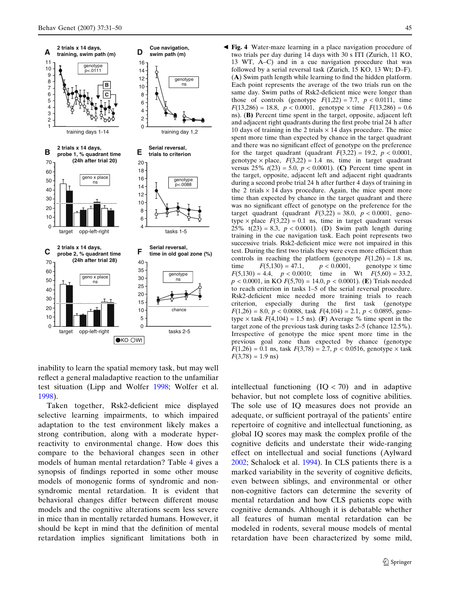<span id="page-15-0"></span>

inability to learn the spatial memory task, but may well reflect a general maladaptive reaction to the unfamiliar test situation (Lipp and Wolfer [1998](#page-19-0); Wolfer et al. [1998](#page-20-0)).

Taken together, Rsk2-deficient mice displayed selective learning impairments, to which impaired adaptation to the test environment likely makes a strong contribution, along with a moderate hyperreactivity to environmental change. How does this compare to the behavioral changes seen in other models of human mental retardation? Table [4](#page-16-0) gives a synopsis of findings reported in some other mouse models of monogenic forms of syndromic and nonsyndromic mental retardation. It is evident that behavioral changes differ between different mouse models and the cognitive alterations seem less severe in mice than in mentally retarded humans. However, it should be kept in mind that the definition of mental retardation implies significant limitations both in

Fig. 4 Water-maze learning in a place navigation procedure of b two trials per day during 14 days with 30 s ITI (Zurich, 11 KO, 13 WT, A–C) and in a cue navigation procedure that was followed by a serial reversal task (Zurich, 15 KO, 13 Wt; D–F). (A) Swim path length while learning to find the hidden platform. Each point represents the average of the two trials run on the same day. Swim paths of Rsk2-deficient mice were longer than those of controls (genotype  $F(1,22) = 7.7$ ,  $p < 0.0111$ , time  $F(13,286) = 18.8$ ,  $p < 0.0001$ , genotype  $\times$  time  $F(13,286) = 0.6$ ns). (B) Percent time spent in the target, opposite, adjacent left and adjacent right quadrants during the first probe trial 24 h after 10 days of training in the 2 trials  $\times$  14 days procedure. The mice spent more time than expected by chance in the target quadrant and there was no significant effect of genotype on the preference for the target quadrant (quadrant  $F(3,22) = 19.2$ ,  $p < 0.0001$ , genotype  $\times$  place,  $F(3,22) = 1.4$  ns, time in target quadrant versus  $25\%$   $t(23) = 5.0$ ,  $p < 0.0001$ ). (C) Percent time spent in the target, opposite, adjacent left and adjacent right quadrants during a second probe trial 24 h after further 4 days of training in the 2 trials  $\times$  14 days procedure. Again, the mice spent more time than expected by chance in the target quadrant and there was no significant effect of genotype on the preference for the target quadrant (quadrant  $F(3,22) = 38.0$ ,  $p < 0.0001$ , genotype  $\times$  place  $F(3,22) = 0.1$  ns, time in target quadrant versus 25% t(23) = 8.3, p < 0.0001). (D) Swim path length during training in the cue navigation task. Each point represents two successive trials. Rsk2-deficient mice were not impaired in this test. During the first two trials they were even more efficient than controls in reaching the platform (genotype  $F(1,26) = 1.8$  ns, time  $F(5,130) = 47.1$ ,  $p < 0.0001$ , genotype  $\times$  time  $F(5,130) = 4.4$ ,  $p < 0.0010$ ; time in Wt  $F(5,60) = 33.2$ ,  $p < 0.0001$ , in KO  $F(5,70) = 14.0, p < 0.0001$ ). (E) Trials needed to reach criterion in tasks 1–5 of the serial reversal procedure. Rsk2-deficient mice needed more training trials to reach criterion, especially during the first task (genotype  $F(1,26) = 8.0, p < 0.0088$ , task  $F(4,104) = 2.1, p < 0.0895$ , genotype  $\times$  task  $F(4,104) = 1.5$  ns). (F) Average % time spent in the target zone of the previous task during tasks 2–5 (chance 12.5%). Irrespective of genotype the mice spent more time in the previous goal zone than expected by chance (genotype  $F(1,26) = 0.1$  ns, task  $F(3,78) = 2.7$ ,  $p < 0.0516$ , genotype  $\times$  task  $F(3,78) = 1.9$  ns)

intellectual functioning  $(IQ < 70)$  and in adaptive behavior, but not complete loss of cognitive abilities. The sole use of IQ measures does not provide an adequate, or sufficient portrayal of the patients' entire repertoire of cognitive and intellectual functioning, as global IQ scores may mask the complex profile of the cognitive deficits and understate their wide-ranging effect on intellectual and social functions (Aylward [2002](#page-17-0); Schalock et al. [1994](#page-19-0)). In CLS patients there is a marked variability in the severity of cognitive deficits, even between siblings, and environmental or other non-cognitive factors can determine the severity of mental retardation and how CLS patients cope with cognitive demands. Although it is debatable whether all features of human mental retardation can be modeled in rodents, several mouse models of mental retardation have been characterized by some mild,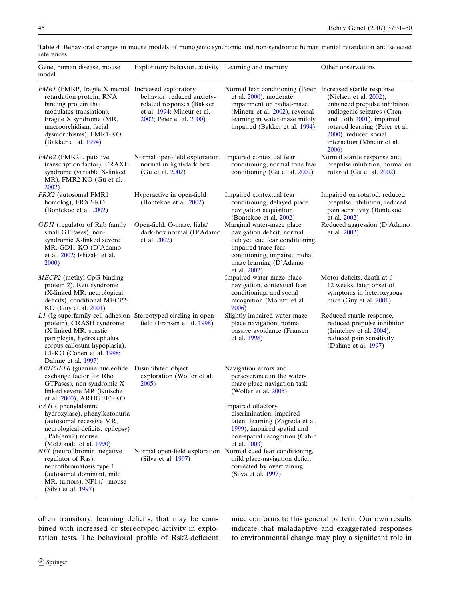| Gene, human disease, mouse<br>model                                                                                                                                                                                                      | Exploratory behavior, activity Learning and memory                                                                |                                                                                                                                                                                                                       | Other observations                                                                                                                                                                                                 |
|------------------------------------------------------------------------------------------------------------------------------------------------------------------------------------------------------------------------------------------|-------------------------------------------------------------------------------------------------------------------|-----------------------------------------------------------------------------------------------------------------------------------------------------------------------------------------------------------------------|--------------------------------------------------------------------------------------------------------------------------------------------------------------------------------------------------------------------|
| FMR1 (FMRP, fragile X mental Increased exploratory<br>retardation protein, RNA<br>binding protein that<br>modulates translation),<br>Fragile X syndrome (MR,<br>macroorchidism, facial<br>dysmorphisms), FMR1-KO<br>(Bakker et al. 1994) | behavior, reduced anxiety-<br>related responses (Bakker<br>et al. 1994; Mineur et al.<br>2002; Peier et al. 2000) | Normal fear conditioning (Peier Increased startle response<br>et al. 2000), moderate<br>impairment on radial-maze<br>(Mineur et al. 2002), reversal<br>learning in water-maze mildly<br>impaired (Bakker et al. 1994) | (Nielsen et al. 2002),<br>enhanced prepulse inhibition,<br>audiogenic seizures (Chen<br>and Toth 2001), impaired<br>rotarod learning (Peier et al.<br>2000), reduced social<br>interaction (Mineur et al.<br>2006) |
| FMR2 (FMR2P, putative<br>transcription factor), FRAXE<br>syndrome (variable X-linked<br>MR), FMR2-KO (Gu et al.<br>2002)                                                                                                                 | Normal open-field exploration, Impaired contextual fear<br>normal in light/dark box<br>(Gu et al. 2002)           | conditioning, normal tone fear<br>conditioning (Gu et al. 2002)                                                                                                                                                       | Normal startle response and<br>prepulse inhibition, normal on<br>rotarod (Gu et al. $2002$ )                                                                                                                       |
| FRX2 (autosomal FMR1<br>homolog), FRX2-KO<br>(Bontekoe et al. 2002)                                                                                                                                                                      | Hyperactive in open-field<br>(Bontekoe et al. 2002)                                                               | Impaired contextual fear<br>conditioning, delayed place<br>navigation acquisition<br>(Bontekoe et al. 2002)                                                                                                           | Impaired on rotarod, reduced<br>prepulse inhibition, reduced<br>pain sensitivity (Bontekoe<br>et al. 2002)                                                                                                         |
| GDII (regulator of Rab family<br>small GTPases), non-<br>syndromic X-linked severe<br>MR, GDI1-KO (D'Adamo<br>et al. 2002; Ishizaki et al.<br>2000)                                                                                      | Open-field, O-maze, light/<br>dark-box normal (D'Adamo<br>et al. 2002)                                            | Marginal water-maze place<br>navigation deficit, normal<br>delayed cue fear conditioning,<br>impaired trace fear<br>conditioning, impaired radial<br>maze learning (D'Adamo<br>et al. 2002)                           | Reduced aggression (D'Adamo<br>et al. 2002)                                                                                                                                                                        |
| $MECP2$ (methyl-CpG-binding<br>protein 2), Rett syndrome<br>(X-linked MR, neurological<br>deficits), conditional MECP2-<br>$KO$ (Guy et al. $2001$ )                                                                                     |                                                                                                                   | Impaired water-maze place<br>navigation, contextual fear<br>conditioning, and social<br>recognition (Moretti et al.<br>2006)                                                                                          | Motor deficits, death at 6–<br>12 weeks, later onset of<br>symptoms in heterozygous<br>mice (Guy et al. 2001)                                                                                                      |
| L1 (Ig superfamily cell adhesion Stereotyped circling in open-<br>protein), CRASH syndrome<br>(X linked MR, spastic<br>paraplegia, hydrocephalus,<br>corpus callosum hypoplasia),<br>L1-KO (Cohen et al. 1998;<br>Dahme et al. 1997)     | field (Fransen et al. 1998)                                                                                       | Slightly impaired water-maze<br>place navigation, normal<br>passive avoidance (Fransen<br>et al. 1998)                                                                                                                | Reduced startle response,<br>reduced prepulse inhibition<br>(Irintchev et al. 2004),<br>reduced pain sensitivity<br>(Dahme et al. 1997)                                                                            |
| ARHGEF6 (guanine nucleotide Disinhibited object<br>exchange factor for Rho<br>GTPases), non-syndromic X-<br>linked severe MR (Kutsche<br>et al. 2000), ARHGEF6-KO                                                                        | exploration (Wolfer et al.<br>2005)                                                                               | Navigation errors and<br>perseverance in the water-<br>maze place navigation task<br>(Wolfer et al. 2005)                                                                                                             |                                                                                                                                                                                                                    |
| <i>PAH</i> (phenylalanine<br>hydroxylase), phenylketonuria<br>(autosomal recessive MR,<br>neurological deficits, epilepsy)<br>, Pah(enu2) mouse<br>(McDonald et al. 1990)                                                                |                                                                                                                   | Impaired olfactory<br>discrimination, impaired<br>latent learning (Zagreda et al.<br>1999), impaired spatial and<br>non-spatial recognition (Cabib<br>et al. 2003)                                                    |                                                                                                                                                                                                                    |
| NF1 (neurofibromin, negative<br>regulator of Ras),<br>neurofibromatosis type 1<br>(autosomal dominant, mild<br>MR, tumors), $NF1+/-$ mouse<br>(Silva et al. 1997)                                                                        | (Silva et al. 1997)                                                                                               | Normal open-field exploration Normal cued fear conditioning,<br>mild place-navigation deficit<br>corrected by overtraining<br>(Silva et al. 1997)                                                                     |                                                                                                                                                                                                                    |

<span id="page-16-0"></span>Table 4 Behavioral changes in mouse models of monogenic syndromic and non-syndromic human mental retardation and selected references

often transitory, learning deficits, that may be combined with increased or stereotyped activity in exploration tests. The behavioral profile of Rsk2-deficient mice conforms to this general pattern. Our own results indicate that maladaptive and exaggerated responses to environmental change may play a significant role in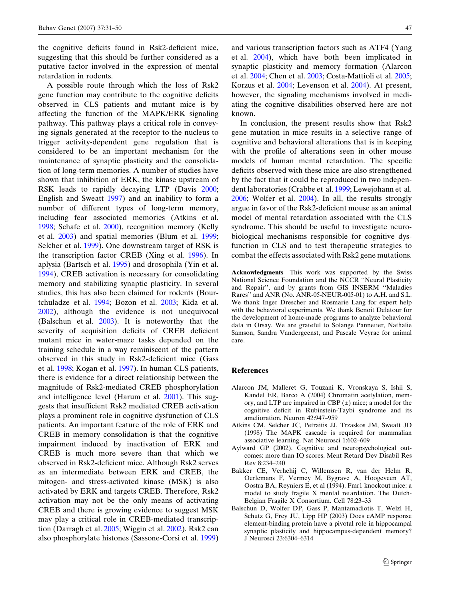<span id="page-17-0"></span>the cognitive deficits found in Rsk2-deficient mice, suggesting that this should be further considered as a putative factor involved in the expression of mental retardation in rodents.

A possible route through which the loss of Rsk2 gene function may contribute to the cognitive deficits observed in CLS patients and mutant mice is by affecting the function of the MAPK/ERK signaling pathway. This pathway plays a critical role in conveying signals generated at the receptor to the nucleus to trigger activity-dependent gene regulation that is considered to be an important mechanism for the maintenance of synaptic plasticity and the consolidation of long-term memories. A number of studies have shown that inhibition of ERK, the kinase upstream of RSK leads to rapidly decaying LTP (Davis [2000](#page-18-0); English and Sweatt [1997](#page-18-0)) and an inability to form a number of different types of long-term memory, including fear associated memories (Atkins et al. 1998; Schafe et al. [2000\)](#page-19-0), recognition memory (Kelly et al. [2003](#page-19-0)) and spatial memories (Blum et al. [1999](#page-18-0); Selcher et al. [1999](#page-19-0)). One downstream target of RSK is the transcription factor CREB (Xing et al. [1996](#page-20-0)). In aplysia (Bartsch et al. [1995\)](#page-18-0) and drosophila (Yin et al. [1994](#page-20-0)), CREB activation is necessary for consolidating memory and stabilizing synaptic plasticity. In several studies, this has also been claimed for rodents (Bourtchuladze et al. [1994](#page-18-0); Bozon et al. [2003;](#page-18-0) Kida et al. [2002](#page-19-0)), although the evidence is not unequivocal (Balschun et al. 2003). It is noteworthy that the severity of acquisition deficits of CREB deficient mutant mice in water-maze tasks depended on the training schedule in a way reminiscent of the pattern observed in this study in Rsk2-deficient mice (Gass et al. [1998;](#page-18-0) Kogan et al. [1997](#page-19-0)). In human CLS patients, there is evidence for a direct relationship between the magnitude of Rsk2-mediated CREB phosphorylation and intelligence level (Harum et al. [2001\)](#page-19-0). This suggests that insufficient Rsk2 mediated CREB activation plays a prominent role in cognitive dysfunction of CLS patients. An important feature of the role of ERK and CREB in memory consolidation is that the cognitive impairment induced by inactivation of ERK and CREB is much more severe than that which we observed in Rsk2-deficient mice. Although Rsk2 serves as an intermediate between ERK and CREB, the mitogen- and stress-activated kinase (MSK) is also activated by ERK and targets CREB. Therefore, Rsk2 activation may not be the only means of activating CREB and there is growing evidence to suggest MSK may play a critical role in CREB-mediated transcription (Darragh et al. [2005](#page-18-0); Wiggin et al. [2002](#page-20-0)). Rsk2 can also phosphorylate histones (Sassone-Corsi et al. [1999\)](#page-19-0)

and various transcription factors such as ATF4 (Yang et al. [2004](#page-20-0)), which have both been implicated in synaptic plasticity and memory formation (Alarcon et al. 2004; Chen et al. [2003;](#page-18-0) Costa-Mattioli et al. [2005](#page-18-0); Korzus et al. [2004;](#page-19-0) Levenson et al. [2004\)](#page-19-0). At present, however, the signaling mechanisms involved in mediating the cognitive disabilities observed here are not known.

In conclusion, the present results show that Rsk2 gene mutation in mice results in a selective range of cognitive and behavioral alterations that is in keeping with the profile of alterations seen in other mouse models of human mental retardation. The specific deficits observed with these mice are also strengthened by the fact that it could be reproduced in two independent laboratories (Crabbe et al. [1999;](#page-18-0) Lewejohann et al. [2006](#page-19-0); Wolfer et al. [2004](#page-20-0)). In all, the results strongly argue in favor of the Rsk2-deficient mouse as an animal model of mental retardation associated with the CLS syndrome. This should be useful to investigate neurobiological mechanisms responsible for cognitive dysfunction in CLS and to test therapeutic strategies to combat the effects associated with Rsk2 gene mutations.

Acknowledgments This work was supported by the Swiss National Science Foundation and the NCCR ''Neural Plasticity and Repair'', and by grants from GIS INSERM ''Maladies Rares'' and ANR (No. ANR-05-NEUR-005-01) to A.H. and S.L. We thank Inger Drescher and Rosmarie Lang for expert help with the behavioral experiments. We thank Benoit Delatour for the development of home-made programs to analyze behavioral data in Orsay. We are grateful to Solange Pannetier, Nathalie Samson, Sandra Vandergeenst, and Pascale Veyrac for animal care.

## **References**

- Alarcon JM, Malleret G, Touzani K, Vronskaya S, Ishii S, Kandel ER, Barco A (2004) Chromatin acetylation, memory, and LTP are impaired in CBP  $(\pm)$  mice; a model for the cognitive deficit in Rubinstein-Taybi syndrome and its amelioration. Neuron 42:947–959
- Atkins CM, Selcher JC, Petraitis JJ, Trzaskos JM, Sweatt JD (1998) The MAPK cascade is required for mammalian associative learning. Nat Neurosci 1:602–609
- Aylward GP (2002). Cognitive and neuropsychological outcomes: more than IQ scores. Ment Retard Dev Disabil Res Rev 8:234–240
- Bakker CE, Verhehij C, Willemsen R, van der Helm R, Oerlemans F, Vermey M, Bygrave A, Hoogeveen AT, Oostra BA, Reyniers E, et al (1994). Fmr1 knockout mice: a model to study fragile X mental retardation. The Dutch-Belgian Fragile X Consortium. Cell 78:23–33
- Balschun D, Wolfer DP, Gass P, Mantamadiotis T, Welzl H, Schutz G, Frey JU, Lipp HP (2003) Does cAMP response element-binding protein have a pivotal role in hippocampal synaptic plasticity and hippocampus-dependent memory? J Neurosci 23:6304–6314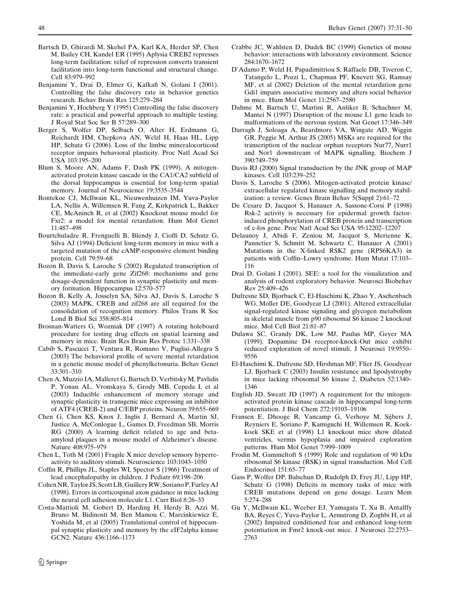- <span id="page-18-0"></span>Bartsch D, Ghirardi M, Skehel PA, Karl KA, Herder SP, Chen M, Bailey CH, Kandel ER (1995) Aplysia CREB2 represses long-term facilitation: relief of repression converts transient facilitation into long-term functional and structural change. Cell 83:979–992
- Benjamini Y, Drai D, Elmer G, Kafkafi N, Golani I (2001). Controlling the false discovery rate in behavior genetics research. Behav Brain Res 125:279–284
- Benjamini Y, Hochberg Y (1995) Controlling the false discovery rate: a practical and powerful approach to multiple testing. J Royal Stat Soc Ser B 57:289–300
- Berger S, Wolfer DP, Selbach O, Alter H, Erdmann G, Reichardt HM, Chepkova AN, Welzl H, Haas HL, Lipp HP, Schutz G (2006). Loss of the limbic mineralocorticoid receptor impairs behavioral plasticity. Proc Natl Acad Sci USA 103:195–200
- Blum S, Moore AN, Adams F, Dash PK (1999). A mitogenactivated protein kinase cascade in the CA1/CA2 subfield of the dorsal hippocampus is essential for long-term spatial memory. Journal of Neurocience 19:3535–3544
- Bontekoe CJ, McIlwain KL, Nieuwenhuizen IM, Yuva-Paylor LA, Nellis A, Willemsen R, Fang Z, Kirkpatrick L, Bakker CE, McAninch R, et al (2002) Knockout mouse model for Fxr2: a model for mental retardation. Hum Mol Genet 11:487–498
- Bourtchuladze R, Frenguelli B, Blendy J, Cioffi D, Schutz G, Silva AJ (1994) Deficient long-term memory in mice with a targeted mutation of the cAMP-responsive element binding protein. Cell 79:59–68
- Bozon B, Davis S, Laroche S (2002) Regulated transcription of the immediate-early gene Zif268: mechanisms and gene dosage-dependent function in synaptic plasticity and memory formation. Hippocampus 12:570–577
- Bozon B, Kelly A, Josselyn SA, Silva AJ, Davis S, Laroche S (2003) MAPK, CREB and zif268 are all required for the consolidation of recognition memory. Philos Trans R Soc Lond B Biol Sci 358:805–814
- Brosnan-Watters G, Wozniak DF (1997) A rotating holeboard procedure for testing drug effects on spatial learning and memory in mice. Brain Res Brain Res Protoc 1:331–338
- Cabib S, Pascucci T, Ventura R, Romano V, Puglisi-Allegra S (2003) The behavioral profile of severe mental retardation in a genetic mouse model of phenylketonuria. Behav Genet 33:301–310
- Chen A, Muzzio IA, Malleret G, Bartsch D, Verbitsky M, Pavlidis P, Yonan AL, Vronskaya S, Grody MB, Cepeda I, et al (2003) Inducible enhancement of memory storage and synaptic plasticity in transgenic mice expressing an inhibitor of ATF4 (CREB-2) and C/EBP proteins. Neuron 39:655–669
- Chen G, Chen KS, Knox J, Inglis J, Bernard A, Martin SJ, Justice A, McConlogue L, Games D, Freedman SB, Morris RG (2000) A learning deficit related to age and betaamyloid plaques in a mouse model of Alzheimer's disease. Nature 408:975–979
- Chen L, Toth M (2001) Fragile X mice develop sensory hyperreactivity to auditory stimuli. Neuroscience 103:1043–1050
- Coffin R, Phillips JL, Staples WI, Spector S (1966) Treatment of lead encephalopathy in children. J Pediatr 69:198–206
- Cohen NR, Taylor JS, Scott LB, Guillery RW, Soriano P, Furley AJ (1998). Errors in corticospinal axon guidance in mice lacking the neural cell adhesion molecule L1. Curr Biol 8:26–33
- Costa-Mattioli M, Gobert D, Harding H, Herdy B, Azzi M, Bruno M, Bidinosti M, Ben Mamou C, Marcinkiewicz E, Yoshida M, et al (2005) Translational control of hippocampal synaptic plasticity and memory by the eIF2alpha kinase GCN2. Nature 436:1166–1173
- Crabbe JC, Wahlsten D, Dudek BC (1999) Genetics of mouse behavior: interactions with laboratory environment. Science 284:1670–1672
- D'Adamo P, Welzl H, Papadimitriou S, Raffaele DB, Tiveron C, Tatangelo L, Pozzi L, Chapman PF, Knevett SG, Ramsay MF, et al (2002) Deletion of the mental retardation gene Gdi1 impairs associative memory and alters social behavior in mice. Hum Mol Genet 11:2567–2580
- Dahme M, Bartsch U, Martini R, Anliker B, Schachner M, Mantei N (1997) Disruption of the mouse L1 gene leads to malformations of the nervous system. Nat Genet 17:346–349
- Darragh J, Soloaga A, Beardmore VA, Wingate AD, Wiggin GR, Peggie M, Arthur JS (2005) MSKs are required for the transcription of the nuclear orphan receptors Nur77, Nurr1 and Nor1 downstream of MAPK signalling. Biochem J 390:749–759
- Davis RJ (2000) Signal transduction by the JNK group of MAP kinases. Cell 103:239–252
- Davis S, Laroche S (2006). Mitogen-activated protein kinase/ extracellular regulated kinase signalling and memory stabilization: a review. Genes Brain Behav 5(Suppl 2):61–72
- De Cesare D, Jacquot S, Hanauer A, Sassone-Corsi P (1998) Rsk-2 activity is necessary for epidermal growth factorinduced phosphorylation of CREB protein and transcription of c-fos gene. Proc Natl Acad Sci USA 95:12202–12207
- Delaunoy J, Abidi F, Zeniou M, Jacquot S, Merienne K, Pannetier S, Schmitt M, Schwartz C, Hanauer A (2001) Mutations in the X-linked RSK2 gene (RPS6KA3) in patients with Coffin–Lowry syndrome. Hum Mutat 17:103– 116
- Drai D, Golani I (2001). SEE: a tool for the visualization and analysis of rodent exploratory behavior. Neurosci Biobehav Rev 25:409–426
- Dufresne SD, Bjorbaek C, El-Haschimi K, Zhao Y, Aschenbach WG, Moller DE, Goodyear LJ (2001). Altered extracellular signal-regulated kinase signaling and glycogen metabolism in skeletal muscle from p90 ribosomal S6 kinase 2 knockout mice. Mol Cell Biol 21:81–87
- Dulawa SC, Grandy DK, Low MJ, Paulus MP, Geyer MA (1999). Dopamine D4 receptor-knock-Out mice exhibit reduced exploration of novel stimuli. J Neurosci 19:9550– 9556
- El-Haschimi K, Dufresne SD, Hirshman MF, Flier JS, Goodyear LJ, Bjorbaek C (2003) Insulin resistance and lipodystrophy in mice lacking ribosomal S6 kinase 2. Diabetes 52:1340– 1346
- English JD, Sweatt JD (1997) A requirement for the mitogenactivated protein kinase cascade in hippocampal long-term potentiation. J Biol Chem 272:19103–19106
- Fransen E, Dhooge R, Vancamp G, Verhoye M, Sijbers J, Reyniers E, Soriano P, Kamiguchi H, Willemsen R, Koekkoek SKE et al (1998) L1 knockout mice show dilated ventricles, vermis hypoplasia and impaired exploration patterns. Hum Mol Genet 7:999–1009
- Frodin M, Gammeltoft S (1999) Role and regulation of 90 kDa ribosomal S6 kinase (RSK) in signal transduction. Mol Cell Endocrinol 151:65–77
- Gass P, Wolfer DP, Balschun D, Rudolph D, Frey JU, Lipp HP, Schutz G (1998) Deficits in memory tasks of mice with CREB mutations depend on gene dosage. Learn Mem 5:274–288
- Gu Y, McIlwain KL, Weeber EJ, Yamagata T, Xu B, Antalffy BA, Reyes C, Yuva-Paylor L, Armstrong D, Zoghbi H, et al (2002) Impaired conditioned fear and enhanced long-term potentiation in Fmr2 knock-out mice. J Neurosci 22:2753– 2763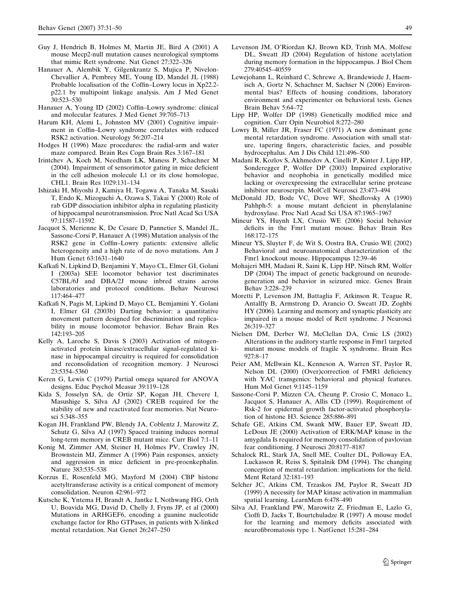- <span id="page-19-0"></span>Guy J, Hendrich B, Holmes M, Martin JE, Bird A (2001) A mouse Mecp2-null mutation causes neurological symptoms that mimic Rett syndrome. Nat Genet 27:322–326
- Hanauer A, Alembik Y, Gilgenkrantz S, Mujica P, Nivelon-Chevallier A, Pembrey ME, Young ID, Mandel JL (1988) Probable localisation of the Coffin–Lowry locus in Xp22.2 p22.1 by multipoint linkage analysis. Am J Med Genet 30:523–530
- Hanauer A, Young ID (2002) Coffin–Lowry syndrome: clinical and molecular features. J Med Genet 39:705–713
- Harum KH, Alemi L, Johnston MV (2001) Cognitive impairment in Coffin–Lowry syndrome correlates with reduced RSK2 activation. Neurology 56:207–214
- Hodges H (1996) Maze procedures: the radial-arm and water maze compared. Brain Res Cogn Brain Res 3:167–181
- Irintchev A, Koch M, Needham LK, Maness P, Schachner M (2004). Impairment of sensorimotor gating in mice deficient in the cell adhesion molecule L1 or its close homologue, CHL1. Brain Res 1029:131–134
- Ishizaki H, Miyoshi J, Kamiya H, Togawa A, Tanaka M, Sasaki T, Endo K, Mizoguchi A, Ozawa S, Takai Y (2000) Role of rab GDP dissociation inhibitor alpha in regulating plasticity of hippocampal neurotransmission. Proc Natl Acad Sci USA 97:11587–11592
- Jacquot S, Merienne K, De Cesare D, Pannetier S, Mandel JL, Sassone-Corsi P, Hanauer A (1998) Mutation analysis of the RSK2 gene in Coffin–Lowry patients: extensive allelic heterogeneity and a high rate of de novo mutations. Am J Hum Genet 63:1631–1640
- Kafkafi N, Lipkind D, Benjamini Y, Mayo CL, Elmer GI, Golani I (2003a) SEE locomotor behavior test discriminates C57BL/6J and DBA/2J mouse inbred strains across laboratories and protocol conditions. Behav Neurosci 117:464–477
- Kafkafi N, Pagis M, Lipkind D, Mayo CL, Bemjamini Y, Golani I, Elmer GI (2003b) Darting behavior: a quantitative movement pattern designed for discrimination and replicability in mouse locomotor behavior. Behav Brain Res 142:193–205
- Kelly A, Laroche S, Davis S (2003) Activation of mitogenactivated protein kinase/extracellular signal-regulated kinase in hippocampal circuitry is required for consolidation and reconsolidation of recognition memory. J Neurosci 23:5354–5360
- Keren G, Lewis C (1979) Partial omega squared for ANOVA designs. Educ Psychol Measur 39:119–128
- Kida S, Josselyn SA, de Ortiz SP, Kogan JH, Chevere I, Masushige S, Silva AJ (2002) CREB required for the stability of new and reactivated fear memories. Nat Neurosci 5:348–355
- Kogan JH, Frankland PW, Blendy JA, Coblentz J, Marowitz Z, Schutz G, Silva AJ (1997) Spaced training induces normal long-term memory in CREB mutant mice. Curr Biol 7:1–11
- Konig M, Zimmer AM, Steiner H, Holmes PV, Crawley JN, Brownstein MJ, Zimmer A (1996) Pain responses, anxiety and aggression in mice deficient in pre-proenkephalin. Nature 383:535–538
- Korzus E, Rosenfeld MG, Mayford M (2004) CBP histone acetyltransferase activity is a critical component of memory consolidation. Neuron 42:961–972
- Kutsche K, Yntema H, Brandt A, Jantke I, Nothwang HG, Orth U, Boavida MG, David D, Chelly J, Fryns JP, et al (2000) Mutations in ARHGEF6, encoding a guanine nucleotide exchange factor for Rho GTPases, in patients with X-linked mental retardation. Nat Genet 26:247–250
- Levenson JM, O'Riordan KJ, Brown KD, Trinh MA, Molfese DL, Sweatt JD (2004) Regulation of histone acetylation during memory formation in the hippocampus. J Biol Chem 279:40545–40559
- Lewejohann L, Reinhard C, Schrewe A, Brandewiede J, Haemisch A, Gortz N, Schachner M, Sachser N (2006) Environmental bias? Effects of housing conditions, laboratory environment and experimenter on behavioral tests. Genes Brain Behav 5:64–72
- Lipp HP, Wolfer DP (1998) Genetically modified mice and cognition. Curr Opin Neurobiol 8:272–280
- Lowry B, Miller JR, Fraser FC (1971) A new dominant gene mental retardation syndrome. Association with small stature, tapering fingers, characteristic facies, and possible hydrocephalus. Am J Dis Child 121:496–500
- Madani R, Kozlov S, Akhmedov A, Cinelli P, Kinter J, Lipp HP, Sonderegger P, Wolfer DP (2003) Impaired explorative behavior and neophobia in genetically modified mice lacking or overexpressing the extracellular serine protease inhibitor neuroserpin. MolCell Neurosci 23:473–494
- McDonald JD, Bode VC, Dove WF, Shedlovsky A (1990) Pahhph-5: a mouse mutant deficient in phenylalanine hydroxylase. Proc Natl Acad Sci USA 87:1965–1967
- Mineur YS, Huynh LX, Crusio WE (2006) Social behavior deficits in the Fmr1 mutant mouse. Behav Brain Res 168:172–175
- Mineur YS, Sluyter F, de Wit S, Oostra BA, Crusio WE (2002) Behavioral and neuroanatomical characterization of the Fmr1 knockout mouse. Hippocampus 12:39–46
- Mohajeri MH, Madani R, Saini K, Lipp HP, Nitsch RM, Wolfer DP (2004) The impact of genetic background on neurodegeneration and behavior in seizured mice. Genes Brain Behav 3:228–239
- Moretti P, Levenson JM, Battaglia F, Atkinson R, Teague R, Antalffy B, Armstrong D, Arancio O, Sweatt JD, Zoghbi HY (2006). Learning and memory and synaptic plasticity are impaired in a mouse model of Rett syndrome. J Neurosci 26:319–327
- Nielsen DM, Derber WJ, McClellan DA, Crnic LS (2002) Alterations in the auditory startle response in Fmr1 targeted mutant mouse models of fragile X syndrome. Brain Res 927:8–17
- Peier AM, McIlwain KL, Kenneson A, Warren ST, Paylor R, Nelson DL (2000) (Over)correction of FMR1 deficiency with YAC transgenics: behavioral and physical features. Hum Mol Genet 9:1145–1159
- Sassone-Corsi P, Mizzen CA, Cheung P, Crosio C, Monaco L, Jacquot S, Hanauer A, Allis CD (1999). Requirement of Rsk-2 for epidermal growth factor-activated phosphorylation of histone H3. Science 285:886–891
- Schafe GE, Atkins CM, Swank MW, Bauer EP, Sweatt JD, LeDoux JE (2000) Activation of ERK/MAP kinase in the amygdala Is required for memory consolidation of pavlovian fear conditioning. J Neurosci 20:8177–8187
- Schalock RL, Stark JA, Snell ME, Coulter DL, Polloway EA, Luckasson R, Reiss S, Spitalnik DM (1994). The changing conception of mental retardation: implications for the field. Ment Retard 32:181–193
- Selcher JC, Atkins CM, Trzaskos JM, Paylor R, Sweatt JD (1999) A necessity for MAP kinase activation in mammalian spatial learning. LearnMem 6:478–490
- Silva AJ, Frankland PW, Marowitz Z, Friedman E, Lazlo G, Cioffi D, Jacks T, Bourtchuladze R (1997) A mouse model for the learning and memory deficits associated with neurofibromatosis type 1. NatGenet 15:281–284